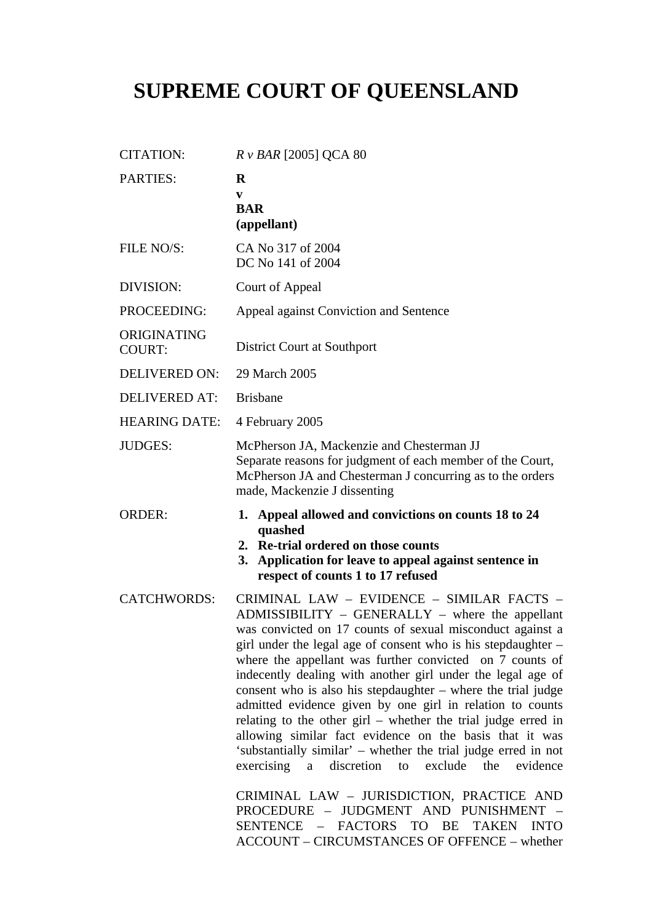# **SUPREME COURT OF QUEENSLAND**

| <b>CITATION:</b>             | $R \nu$ BAR [2005] QCA 80                                                                                                                                                                                                                                                                                                                                                                                                                                                                                                                                                                                                                                                                                                                                                                                                                                                                                                                                                         |
|------------------------------|-----------------------------------------------------------------------------------------------------------------------------------------------------------------------------------------------------------------------------------------------------------------------------------------------------------------------------------------------------------------------------------------------------------------------------------------------------------------------------------------------------------------------------------------------------------------------------------------------------------------------------------------------------------------------------------------------------------------------------------------------------------------------------------------------------------------------------------------------------------------------------------------------------------------------------------------------------------------------------------|
| <b>PARTIES:</b>              | R<br>V<br><b>BAR</b><br>(appellant)                                                                                                                                                                                                                                                                                                                                                                                                                                                                                                                                                                                                                                                                                                                                                                                                                                                                                                                                               |
| FILE NO/S:                   | CA No 317 of 2004<br>DC No 141 of 2004                                                                                                                                                                                                                                                                                                                                                                                                                                                                                                                                                                                                                                                                                                                                                                                                                                                                                                                                            |
| DIVISION:                    | Court of Appeal                                                                                                                                                                                                                                                                                                                                                                                                                                                                                                                                                                                                                                                                                                                                                                                                                                                                                                                                                                   |
| PROCEEDING:                  | Appeal against Conviction and Sentence                                                                                                                                                                                                                                                                                                                                                                                                                                                                                                                                                                                                                                                                                                                                                                                                                                                                                                                                            |
| ORIGINATING<br><b>COURT:</b> | District Court at Southport                                                                                                                                                                                                                                                                                                                                                                                                                                                                                                                                                                                                                                                                                                                                                                                                                                                                                                                                                       |
| <b>DELIVERED ON:</b>         | 29 March 2005                                                                                                                                                                                                                                                                                                                                                                                                                                                                                                                                                                                                                                                                                                                                                                                                                                                                                                                                                                     |
| <b>DELIVERED AT:</b>         | <b>Brisbane</b>                                                                                                                                                                                                                                                                                                                                                                                                                                                                                                                                                                                                                                                                                                                                                                                                                                                                                                                                                                   |
| <b>HEARING DATE:</b>         | 4 February 2005                                                                                                                                                                                                                                                                                                                                                                                                                                                                                                                                                                                                                                                                                                                                                                                                                                                                                                                                                                   |
| <b>JUDGES:</b>               | McPherson JA, Mackenzie and Chesterman JJ<br>Separate reasons for judgment of each member of the Court,<br>McPherson JA and Chesterman J concurring as to the orders<br>made, Mackenzie J dissenting                                                                                                                                                                                                                                                                                                                                                                                                                                                                                                                                                                                                                                                                                                                                                                              |
| <b>ORDER:</b>                | 1. Appeal allowed and convictions on counts 18 to 24<br>quashed<br>2. Re-trial ordered on those counts<br>Application for leave to appeal against sentence in<br>3.<br>respect of counts 1 to 17 refused                                                                                                                                                                                                                                                                                                                                                                                                                                                                                                                                                                                                                                                                                                                                                                          |
| <b>CATCHWORDS:</b>           | CRIMINAL LAW - EVIDENCE - SIMILAR FACTS -<br>$ADMISSIBILITY - GENERALLY - where the appellant$<br>was convicted on 17 counts of sexual misconduct against a<br>girl under the legal age of consent who is his stepdaughter –<br>where the appellant was further convicted on 7 counts of<br>indecently dealing with another girl under the legal age of<br>consent who is also his stepdaughter - where the trial judge<br>admitted evidence given by one girl in relation to counts<br>relating to the other $girl$ – whether the trial judge erred in<br>allowing similar fact evidence on the basis that it was<br>'substantially similar' – whether the trial judge erred in not<br>exercising<br>a<br>discretion<br>exclude<br>the<br>evidence<br>to<br>CRIMINAL LAW - JURISDICTION, PRACTICE AND<br>PROCEDURE - JUDGMENT AND PUNISHMENT -<br><b>SENTENCE</b><br>– FACTORS<br><b>TO</b><br>BE<br><b>TAKEN</b><br><b>INTO</b><br>ACCOUNT – CIRCUMSTANCES OF OFFENCE – whether |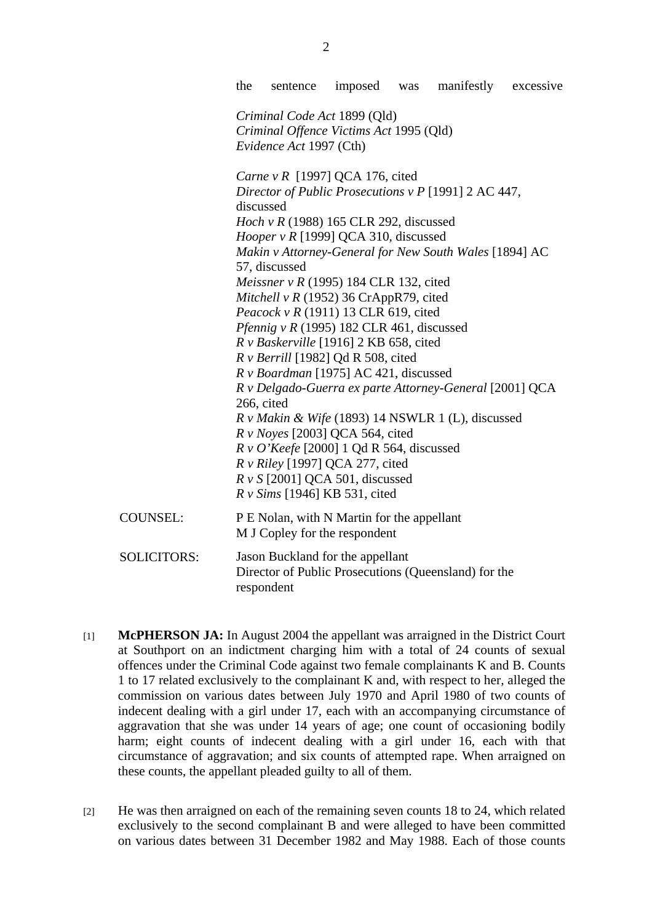the sentence imposed was manifestly excessive *Criminal Code Act* 1899 (Qld) *Criminal Offence Victims Act* 1995 (Qld) *Evidence Act* 1997 (Cth) *Carne v R* [1997] QCA 176, cited *Director of Public Prosecutions v P* [1991] 2 AC 447, discussed *Hoch v R* (1988) 165 CLR 292, discussed *Hooper v R* [1999] QCA 310, discussed *Makin v Attorney-General for New South Wales* [1894] AC 57, discussed *Meissner v R* (1995) 184 CLR 132, cited *Mitchell v R* (1952) 36 CrAppR79, cited *Peacock v R* (1911) 13 CLR 619, cited *Pfennig v R* (1995) 182 CLR 461, discussed *R v Baskerville* [1916] 2 KB 658, cited *R v Berrill* [1982] Qd R 508, cited *R v Boardman* [1975] AC 421, discussed *R v Delgado-Guerra ex parte Attorney-General* [2001] QCA 266, cited *R v Makin & Wife* (1893) 14 NSWLR 1 (L), discussed *R v Noyes* [2003] QCA 564, cited *R v O'Keefe* [2000] 1 Qd R 564, discussed *R v Riley* [1997] QCA 277, cited *R v S* [2001] QCA 501, discussed *R v Sims* [1946] KB 531, cited COUNSEL: P E Nolan, with N Martin for the appellant M J Copley for the respondent SOLICITORS: Jason Buckland for the appellant Director of Public Prosecutions (Queensland) for the

[1] **McPHERSON JA:** In August 2004 the appellant was arraigned in the District Court at Southport on an indictment charging him with a total of 24 counts of sexual offences under the Criminal Code against two female complainants K and B. Counts 1 to 17 related exclusively to the complainant K and, with respect to her, alleged the commission on various dates between July 1970 and April 1980 of two counts of indecent dealing with a girl under 17, each with an accompanying circumstance of aggravation that she was under 14 years of age; one count of occasioning bodily harm; eight counts of indecent dealing with a girl under 16, each with that circumstance of aggravation; and six counts of attempted rape. When arraigned on these counts, the appellant pleaded guilty to all of them.

respondent

[2] He was then arraigned on each of the remaining seven counts 18 to 24, which related exclusively to the second complainant B and were alleged to have been committed on various dates between 31 December 1982 and May 1988. Each of those counts

2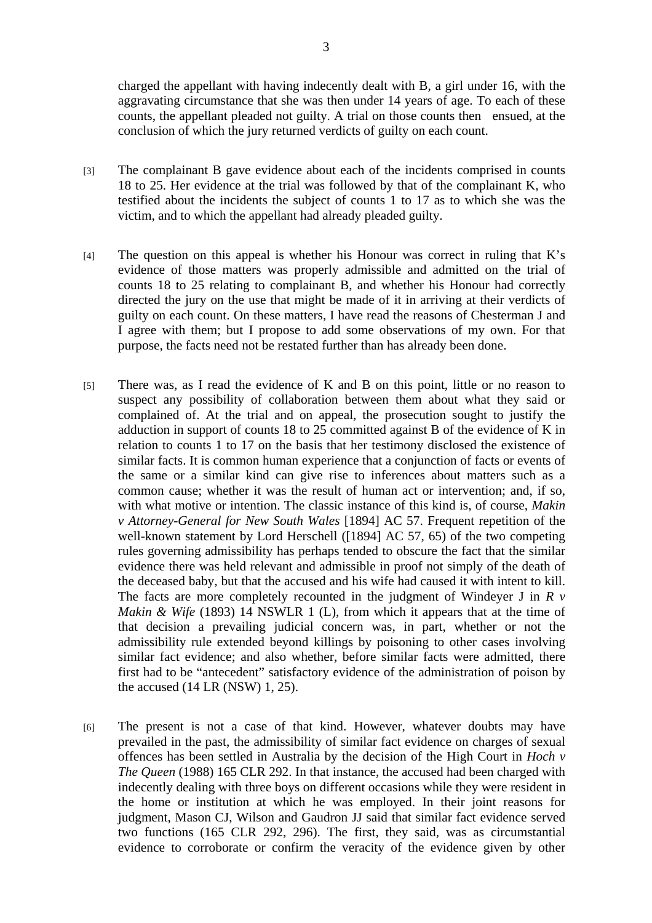charged the appellant with having indecently dealt with B, a girl under 16, with the aggravating circumstance that she was then under 14 years of age. To each of these counts, the appellant pleaded not guilty. A trial on those counts then ensued, at the conclusion of which the jury returned verdicts of guilty on each count.

- [3] The complainant B gave evidence about each of the incidents comprised in counts 18 to 25. Her evidence at the trial was followed by that of the complainant K, who testified about the incidents the subject of counts 1 to 17 as to which she was the victim, and to which the appellant had already pleaded guilty.
- [4] The question on this appeal is whether his Honour was correct in ruling that K's evidence of those matters was properly admissible and admitted on the trial of counts 18 to 25 relating to complainant B, and whether his Honour had correctly directed the jury on the use that might be made of it in arriving at their verdicts of guilty on each count. On these matters, I have read the reasons of Chesterman J and I agree with them; but I propose to add some observations of my own. For that purpose, the facts need not be restated further than has already been done.
- [5] There was, as I read the evidence of K and B on this point, little or no reason to suspect any possibility of collaboration between them about what they said or complained of. At the trial and on appeal, the prosecution sought to justify the adduction in support of counts 18 to 25 committed against B of the evidence of K in relation to counts 1 to 17 on the basis that her testimony disclosed the existence of similar facts. It is common human experience that a conjunction of facts or events of the same or a similar kind can give rise to inferences about matters such as a common cause; whether it was the result of human act or intervention; and, if so, with what motive or intention. The classic instance of this kind is, of course, *Makin v Attorney-General for New South Wales* [1894] AC 57. Frequent repetition of the well-known statement by Lord Herschell ([1894] AC 57, 65) of the two competing rules governing admissibility has perhaps tended to obscure the fact that the similar evidence there was held relevant and admissible in proof not simply of the death of the deceased baby, but that the accused and his wife had caused it with intent to kill. The facts are more completely recounted in the judgment of Windeyer J in *R v Makin & Wife* (1893) 14 NSWLR 1 (L), from which it appears that at the time of that decision a prevailing judicial concern was, in part, whether or not the admissibility rule extended beyond killings by poisoning to other cases involving similar fact evidence; and also whether, before similar facts were admitted, there first had to be "antecedent" satisfactory evidence of the administration of poison by the accused (14 LR (NSW) 1, 25).
- [6] The present is not a case of that kind. However, whatever doubts may have prevailed in the past, the admissibility of similar fact evidence on charges of sexual offences has been settled in Australia by the decision of the High Court in *Hoch v The Queen* (1988) 165 CLR 292. In that instance, the accused had been charged with indecently dealing with three boys on different occasions while they were resident in the home or institution at which he was employed. In their joint reasons for judgment, Mason CJ, Wilson and Gaudron JJ said that similar fact evidence served two functions (165 CLR 292, 296). The first, they said, was as circumstantial evidence to corroborate or confirm the veracity of the evidence given by other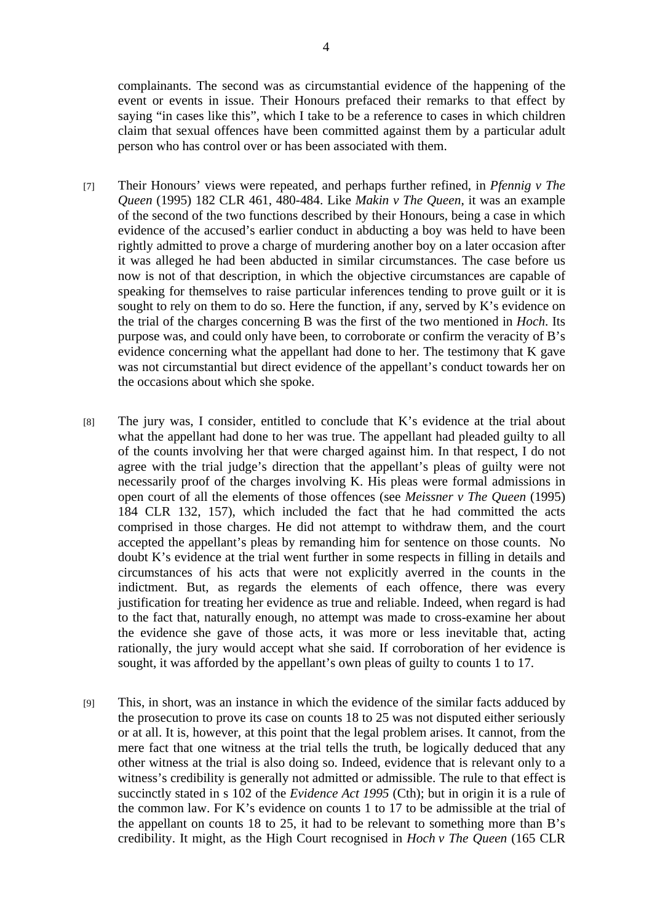complainants. The second was as circumstantial evidence of the happening of the event or events in issue. Their Honours prefaced their remarks to that effect by saying "in cases like this", which I take to be a reference to cases in which children claim that sexual offences have been committed against them by a particular adult person who has control over or has been associated with them.

- [7] Their Honours' views were repeated, and perhaps further refined, in *Pfennig v The Queen* (1995) 182 CLR 461, 480-484. Like *Makin v The Queen*, it was an example of the second of the two functions described by their Honours, being a case in which evidence of the accused's earlier conduct in abducting a boy was held to have been rightly admitted to prove a charge of murdering another boy on a later occasion after it was alleged he had been abducted in similar circumstances. The case before us now is not of that description, in which the objective circumstances are capable of speaking for themselves to raise particular inferences tending to prove guilt or it is sought to rely on them to do so. Here the function, if any, served by K's evidence on the trial of the charges concerning B was the first of the two mentioned in *Hoch*. Its purpose was, and could only have been, to corroborate or confirm the veracity of B's evidence concerning what the appellant had done to her. The testimony that K gave was not circumstantial but direct evidence of the appellant's conduct towards her on the occasions about which she spoke.
- [8] The jury was, I consider, entitled to conclude that K's evidence at the trial about what the appellant had done to her was true. The appellant had pleaded guilty to all of the counts involving her that were charged against him. In that respect, I do not agree with the trial judge's direction that the appellant's pleas of guilty were not necessarily proof of the charges involving K. His pleas were formal admissions in open court of all the elements of those offences (see *Meissner v The Queen* (1995) 184 CLR 132, 157), which included the fact that he had committed the acts comprised in those charges. He did not attempt to withdraw them, and the court accepted the appellant's pleas by remanding him for sentence on those counts. No doubt K's evidence at the trial went further in some respects in filling in details and circumstances of his acts that were not explicitly averred in the counts in the indictment. But, as regards the elements of each offence, there was every justification for treating her evidence as true and reliable. Indeed, when regard is had to the fact that, naturally enough, no attempt was made to cross-examine her about the evidence she gave of those acts, it was more or less inevitable that, acting rationally, the jury would accept what she said. If corroboration of her evidence is sought, it was afforded by the appellant's own pleas of guilty to counts 1 to 17.
- [9] This, in short, was an instance in which the evidence of the similar facts adduced by the prosecution to prove its case on counts 18 to 25 was not disputed either seriously or at all. It is, however, at this point that the legal problem arises. It cannot, from the mere fact that one witness at the trial tells the truth, be logically deduced that any other witness at the trial is also doing so. Indeed, evidence that is relevant only to a witness's credibility is generally not admitted or admissible. The rule to that effect is succinctly stated in s 102 of the *Evidence Act 1995* (Cth); but in origin it is a rule of the common law. For K's evidence on counts 1 to 17 to be admissible at the trial of the appellant on counts 18 to 25, it had to be relevant to something more than B's credibility. It might, as the High Court recognised in *Hoch v The Queen* (165 CLR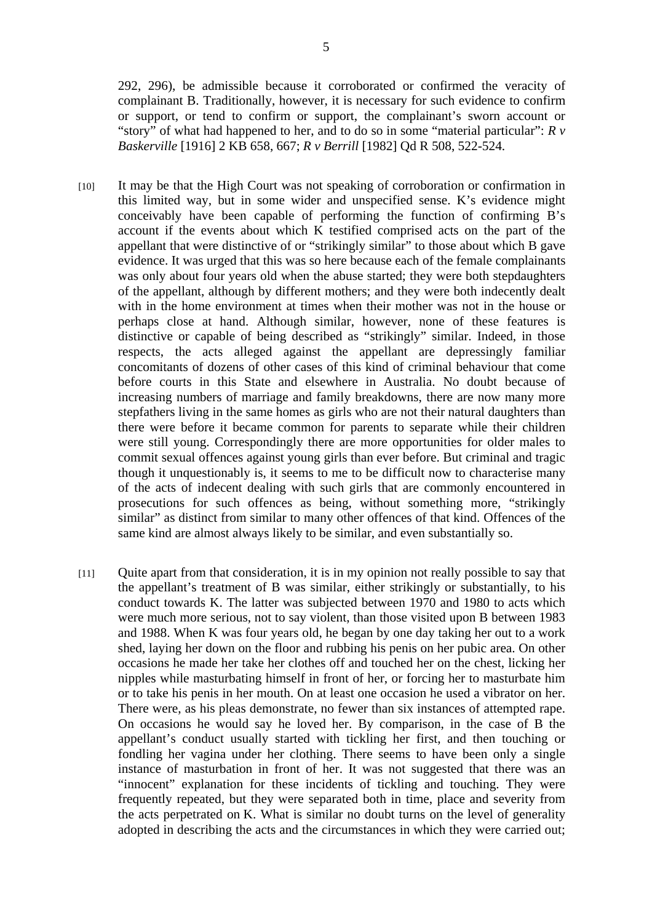292, 296), be admissible because it corroborated or confirmed the veracity of complainant B. Traditionally, however, it is necessary for such evidence to confirm or support, or tend to confirm or support, the complainant's sworn account or "story" of what had happened to her, and to do so in some "material particular": *R v Baskerville* [1916] 2 KB 658, 667; *R v Berrill* [1982] Qd R 508, 522-524.

- [10] It may be that the High Court was not speaking of corroboration or confirmation in this limited way, but in some wider and unspecified sense. K's evidence might conceivably have been capable of performing the function of confirming B's account if the events about which K testified comprised acts on the part of the appellant that were distinctive of or "strikingly similar" to those about which B gave evidence. It was urged that this was so here because each of the female complainants was only about four years old when the abuse started; they were both stepdaughters of the appellant, although by different mothers; and they were both indecently dealt with in the home environment at times when their mother was not in the house or perhaps close at hand. Although similar, however, none of these features is distinctive or capable of being described as "strikingly" similar. Indeed, in those respects, the acts alleged against the appellant are depressingly familiar concomitants of dozens of other cases of this kind of criminal behaviour that come before courts in this State and elsewhere in Australia. No doubt because of increasing numbers of marriage and family breakdowns, there are now many more stepfathers living in the same homes as girls who are not their natural daughters than there were before it became common for parents to separate while their children were still young. Correspondingly there are more opportunities for older males to commit sexual offences against young girls than ever before. But criminal and tragic though it unquestionably is, it seems to me to be difficult now to characterise many of the acts of indecent dealing with such girls that are commonly encountered in prosecutions for such offences as being, without something more, "strikingly similar" as distinct from similar to many other offences of that kind. Offences of the same kind are almost always likely to be similar, and even substantially so.
- [11] Quite apart from that consideration, it is in my opinion not really possible to say that the appellant's treatment of B was similar, either strikingly or substantially, to his conduct towards K. The latter was subjected between 1970 and 1980 to acts which were much more serious, not to say violent, than those visited upon B between 1983 and 1988. When K was four years old, he began by one day taking her out to a work shed, laying her down on the floor and rubbing his penis on her pubic area. On other occasions he made her take her clothes off and touched her on the chest, licking her nipples while masturbating himself in front of her, or forcing her to masturbate him or to take his penis in her mouth. On at least one occasion he used a vibrator on her. There were, as his pleas demonstrate, no fewer than six instances of attempted rape. On occasions he would say he loved her. By comparison, in the case of B the appellant's conduct usually started with tickling her first, and then touching or fondling her vagina under her clothing. There seems to have been only a single instance of masturbation in front of her. It was not suggested that there was an "innocent" explanation for these incidents of tickling and touching. They were frequently repeated, but they were separated both in time, place and severity from the acts perpetrated on K. What is similar no doubt turns on the level of generality adopted in describing the acts and the circumstances in which they were carried out;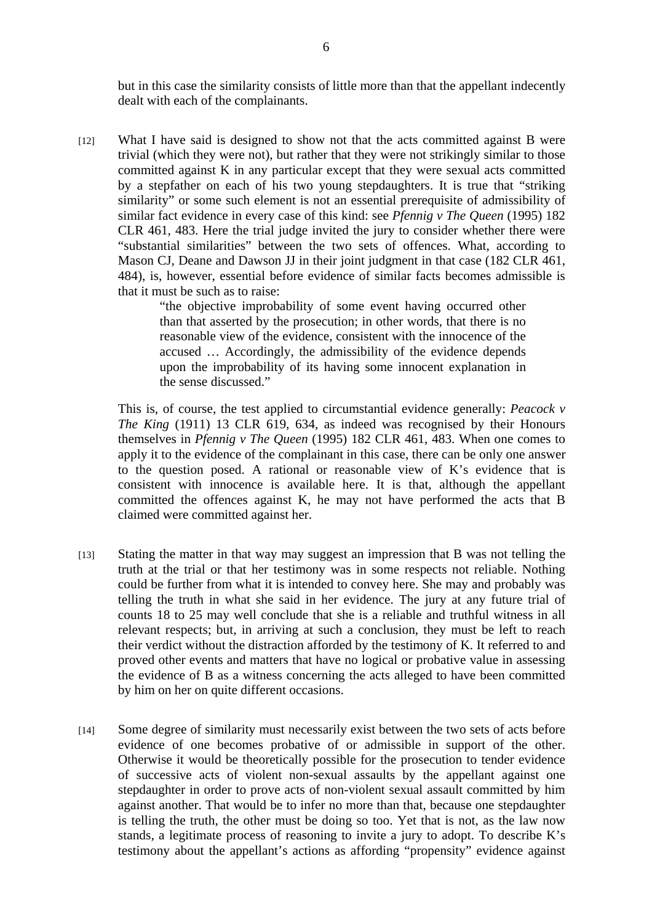but in this case the similarity consists of little more than that the appellant indecently dealt with each of the complainants.

[12] What I have said is designed to show not that the acts committed against B were trivial (which they were not), but rather that they were not strikingly similar to those committed against K in any particular except that they were sexual acts committed by a stepfather on each of his two young stepdaughters. It is true that "striking similarity" or some such element is not an essential prerequisite of admissibility of similar fact evidence in every case of this kind: see *Pfennig v The Queen* (1995) 182 CLR 461, 483. Here the trial judge invited the jury to consider whether there were "substantial similarities" between the two sets of offences. What, according to Mason CJ, Deane and Dawson JJ in their joint judgment in that case (182 CLR 461, 484), is, however, essential before evidence of similar facts becomes admissible is that it must be such as to raise:

> "the objective improbability of some event having occurred other than that asserted by the prosecution; in other words, that there is no reasonable view of the evidence, consistent with the innocence of the accused … Accordingly, the admissibility of the evidence depends upon the improbability of its having some innocent explanation in the sense discussed."

 This is, of course, the test applied to circumstantial evidence generally: *Peacock v The King* (1911) 13 CLR 619, 634, as indeed was recognised by their Honours themselves in *Pfennig v The Queen* (1995) 182 CLR 461, 483. When one comes to apply it to the evidence of the complainant in this case, there can be only one answer to the question posed. A rational or reasonable view of K's evidence that is consistent with innocence is available here. It is that, although the appellant committed the offences against K, he may not have performed the acts that B claimed were committed against her.

- [13] Stating the matter in that way may suggest an impression that B was not telling the truth at the trial or that her testimony was in some respects not reliable. Nothing could be further from what it is intended to convey here. She may and probably was telling the truth in what she said in her evidence. The jury at any future trial of counts 18 to 25 may well conclude that she is a reliable and truthful witness in all relevant respects; but, in arriving at such a conclusion, they must be left to reach their verdict without the distraction afforded by the testimony of K. It referred to and proved other events and matters that have no logical or probative value in assessing the evidence of B as a witness concerning the acts alleged to have been committed by him on her on quite different occasions.
- [14] Some degree of similarity must necessarily exist between the two sets of acts before evidence of one becomes probative of or admissible in support of the other. Otherwise it would be theoretically possible for the prosecution to tender evidence of successive acts of violent non-sexual assaults by the appellant against one stepdaughter in order to prove acts of non-violent sexual assault committed by him against another. That would be to infer no more than that, because one stepdaughter is telling the truth, the other must be doing so too. Yet that is not, as the law now stands, a legitimate process of reasoning to invite a jury to adopt. To describe K's testimony about the appellant's actions as affording "propensity" evidence against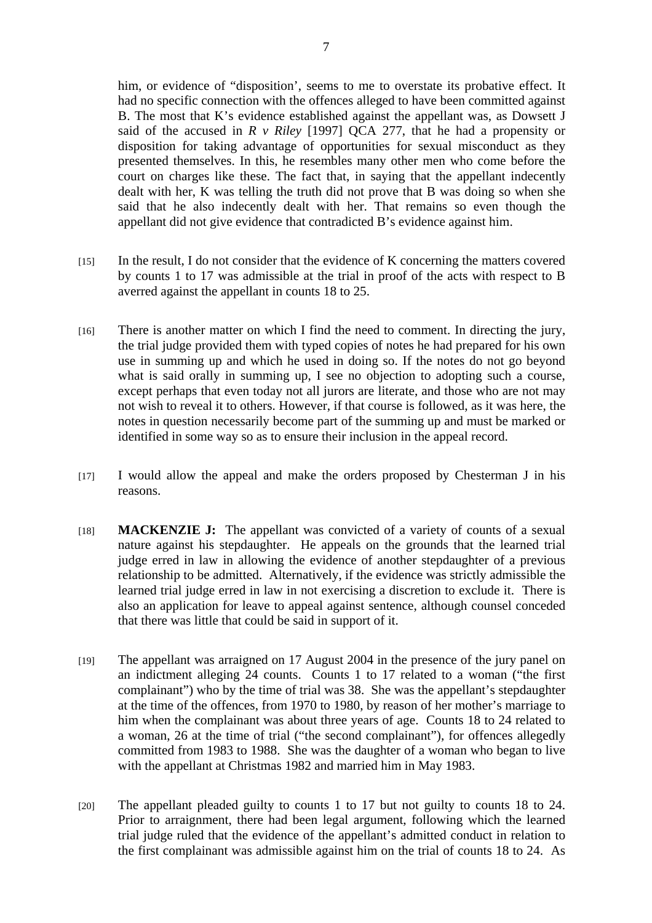him, or evidence of "disposition', seems to me to overstate its probative effect. It had no specific connection with the offences alleged to have been committed against B. The most that K's evidence established against the appellant was, as Dowsett J said of the accused in *R v Riley* [1997] QCA 277, that he had a propensity or disposition for taking advantage of opportunities for sexual misconduct as they presented themselves. In this, he resembles many other men who come before the court on charges like these. The fact that, in saying that the appellant indecently dealt with her, K was telling the truth did not prove that B was doing so when she said that he also indecently dealt with her. That remains so even though the appellant did not give evidence that contradicted B's evidence against him.

- [15] In the result, I do not consider that the evidence of K concerning the matters covered by counts 1 to 17 was admissible at the trial in proof of the acts with respect to B averred against the appellant in counts 18 to 25.
- [16] There is another matter on which I find the need to comment. In directing the jury, the trial judge provided them with typed copies of notes he had prepared for his own use in summing up and which he used in doing so. If the notes do not go beyond what is said orally in summing up, I see no objection to adopting such a course, except perhaps that even today not all jurors are literate, and those who are not may not wish to reveal it to others. However, if that course is followed, as it was here, the notes in question necessarily become part of the summing up and must be marked or identified in some way so as to ensure their inclusion in the appeal record.
- [17] I would allow the appeal and make the orders proposed by Chesterman J in his reasons.
- [18] **MACKENZIE J:** The appellant was convicted of a variety of counts of a sexual nature against his stepdaughter. He appeals on the grounds that the learned trial judge erred in law in allowing the evidence of another stepdaughter of a previous relationship to be admitted. Alternatively, if the evidence was strictly admissible the learned trial judge erred in law in not exercising a discretion to exclude it. There is also an application for leave to appeal against sentence, although counsel conceded that there was little that could be said in support of it.
- [19] The appellant was arraigned on 17 August 2004 in the presence of the jury panel on an indictment alleging 24 counts. Counts 1 to 17 related to a woman ("the first complainant") who by the time of trial was 38. She was the appellant's stepdaughter at the time of the offences, from 1970 to 1980, by reason of her mother's marriage to him when the complainant was about three years of age. Counts 18 to 24 related to a woman, 26 at the time of trial ("the second complainant"), for offences allegedly committed from 1983 to 1988. She was the daughter of a woman who began to live with the appellant at Christmas 1982 and married him in May 1983.
- [20] The appellant pleaded guilty to counts 1 to 17 but not guilty to counts 18 to 24. Prior to arraignment, there had been legal argument, following which the learned trial judge ruled that the evidence of the appellant's admitted conduct in relation to the first complainant was admissible against him on the trial of counts 18 to 24. As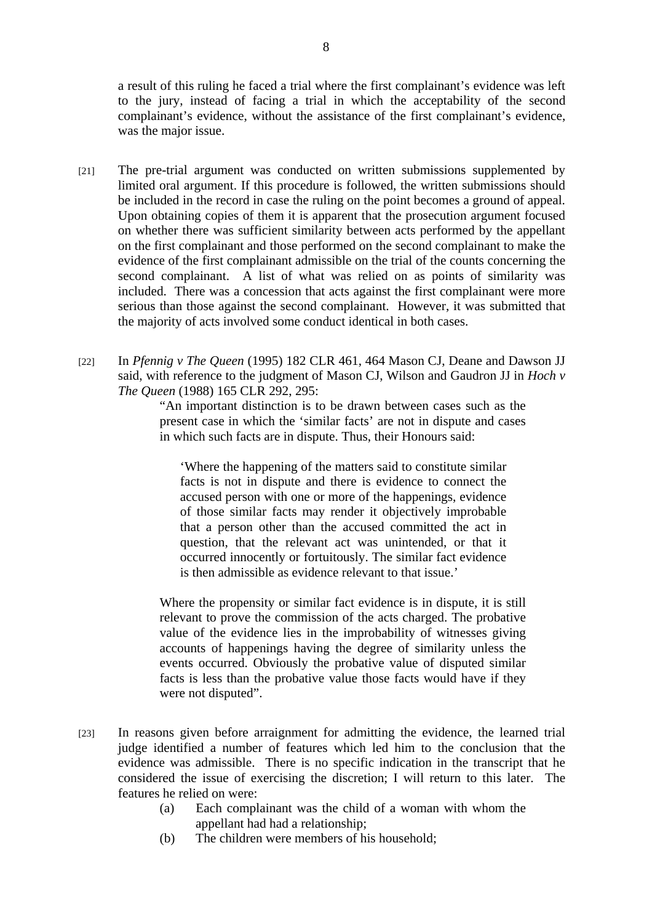a result of this ruling he faced a trial where the first complainant's evidence was left to the jury, instead of facing a trial in which the acceptability of the second complainant's evidence, without the assistance of the first complainant's evidence, was the major issue.

- [21] The pre-trial argument was conducted on written submissions supplemented by limited oral argument. If this procedure is followed, the written submissions should be included in the record in case the ruling on the point becomes a ground of appeal. Upon obtaining copies of them it is apparent that the prosecution argument focused on whether there was sufficient similarity between acts performed by the appellant on the first complainant and those performed on the second complainant to make the evidence of the first complainant admissible on the trial of the counts concerning the second complainant. A list of what was relied on as points of similarity was included. There was a concession that acts against the first complainant were more serious than those against the second complainant. However, it was submitted that the majority of acts involved some conduct identical in both cases.
- [22] In *Pfennig v The Queen* (1995) 182 CLR 461, 464 Mason CJ, Deane and Dawson JJ said, with reference to the judgment of Mason CJ, Wilson and Gaudron JJ in *Hoch v The Queen* (1988) 165 CLR 292, 295:

"An important distinction is to be drawn between cases such as the present case in which the 'similar facts' are not in dispute and cases in which such facts are in dispute. Thus, their Honours said:

'Where the happening of the matters said to constitute similar facts is not in dispute and there is evidence to connect the accused person with one or more of the happenings, evidence of those similar facts may render it objectively improbable that a person other than the accused committed the act in question, that the relevant act was unintended, or that it occurred innocently or fortuitously. The similar fact evidence is then admissible as evidence relevant to that issue.'

Where the propensity or similar fact evidence is in dispute, it is still relevant to prove the commission of the acts charged. The probative value of the evidence lies in the improbability of witnesses giving accounts of happenings having the degree of similarity unless the events occurred. Obviously the probative value of disputed similar facts is less than the probative value those facts would have if they were not disputed".

- [23] In reasons given before arraignment for admitting the evidence, the learned trial judge identified a number of features which led him to the conclusion that the evidence was admissible. There is no specific indication in the transcript that he considered the issue of exercising the discretion; I will return to this later. The features he relied on were:
	- (a) Each complainant was the child of a woman with whom the appellant had had a relationship;
	- (b) The children were members of his household;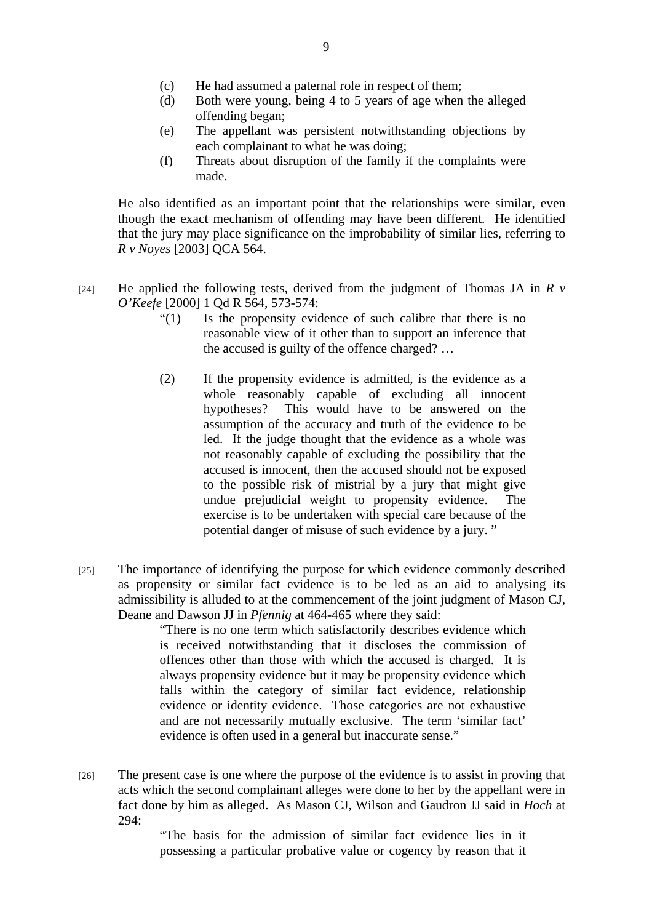- (c) He had assumed a paternal role in respect of them;
- (d) Both were young, being 4 to 5 years of age when the alleged offending began;
- (e) The appellant was persistent notwithstanding objections by each complainant to what he was doing;
- (f) Threats about disruption of the family if the complaints were made.

He also identified as an important point that the relationships were similar, even though the exact mechanism of offending may have been different. He identified that the jury may place significance on the improbability of similar lies, referring to *R v Noyes* [2003] QCA 564.

- [24] He applied the following tests, derived from the judgment of Thomas JA in  $\overline{R}$   $\overline{v}$ *O'Keefe* [2000] 1 Qd R 564, 573-574:
	- "(1) Is the propensity evidence of such calibre that there is no reasonable view of it other than to support an inference that the accused is guilty of the offence charged? …
	- (2) If the propensity evidence is admitted, is the evidence as a whole reasonably capable of excluding all innocent hypotheses? This would have to be answered on the assumption of the accuracy and truth of the evidence to be led. If the judge thought that the evidence as a whole was not reasonably capable of excluding the possibility that the accused is innocent, then the accused should not be exposed to the possible risk of mistrial by a jury that might give undue prejudicial weight to propensity evidence. The exercise is to be undertaken with special care because of the potential danger of misuse of such evidence by a jury. "
- [25] The importance of identifying the purpose for which evidence commonly described as propensity or similar fact evidence is to be led as an aid to analysing its admissibility is alluded to at the commencement of the joint judgment of Mason CJ, Deane and Dawson JJ in *Pfennig* at 464-465 where they said:

"There is no one term which satisfactorily describes evidence which is received notwithstanding that it discloses the commission of offences other than those with which the accused is charged. It is always propensity evidence but it may be propensity evidence which falls within the category of similar fact evidence, relationship evidence or identity evidence. Those categories are not exhaustive and are not necessarily mutually exclusive. The term 'similar fact' evidence is often used in a general but inaccurate sense."

[26] The present case is one where the purpose of the evidence is to assist in proving that acts which the second complainant alleges were done to her by the appellant were in fact done by him as alleged. As Mason CJ, Wilson and Gaudron JJ said in *Hoch* at 294:

> "The basis for the admission of similar fact evidence lies in it possessing a particular probative value or cogency by reason that it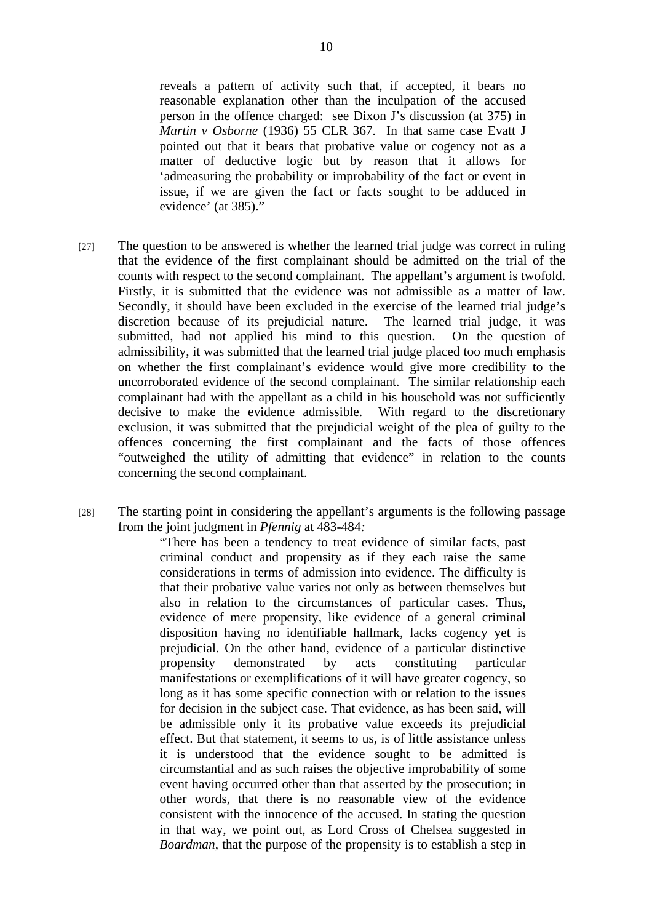reveals a pattern of activity such that, if accepted, it bears no reasonable explanation other than the inculpation of the accused person in the offence charged: see Dixon J's discussion (at 375) in *Martin v Osborne* (1936) 55 CLR 367. In that same case Evatt J pointed out that it bears that probative value or cogency not as a matter of deductive logic but by reason that it allows for 'admeasuring the probability or improbability of the fact or event in issue, if we are given the fact or facts sought to be adduced in evidence' (at 385)."

- [27] The question to be answered is whether the learned trial judge was correct in ruling that the evidence of the first complainant should be admitted on the trial of the counts with respect to the second complainant. The appellant's argument is twofold. Firstly, it is submitted that the evidence was not admissible as a matter of law. Secondly, it should have been excluded in the exercise of the learned trial judge's discretion because of its prejudicial nature. The learned trial judge, it was submitted, had not applied his mind to this question. On the question of admissibility, it was submitted that the learned trial judge placed too much emphasis on whether the first complainant's evidence would give more credibility to the uncorroborated evidence of the second complainant. The similar relationship each complainant had with the appellant as a child in his household was not sufficiently decisive to make the evidence admissible. With regard to the discretionary exclusion, it was submitted that the prejudicial weight of the plea of guilty to the offences concerning the first complainant and the facts of those offences "outweighed the utility of admitting that evidence" in relation to the counts concerning the second complainant.
- [28] The starting point in considering the appellant's arguments is the following passage from the joint judgment in *Pfennig* at 483-484*:*

"There has been a tendency to treat evidence of similar facts, past criminal conduct and propensity as if they each raise the same considerations in terms of admission into evidence. The difficulty is that their probative value varies not only as between themselves but also in relation to the circumstances of particular cases. Thus, evidence of mere propensity, like evidence of a general criminal disposition having no identifiable hallmark, lacks cogency yet is prejudicial. On the other hand, evidence of a particular distinctive propensity demonstrated by acts constituting particular manifestations or exemplifications of it will have greater cogency, so long as it has some specific connection with or relation to the issues for decision in the subject case. That evidence, as has been said, will be admissible only it its probative value exceeds its prejudicial effect. But that statement, it seems to us, is of little assistance unless it is understood that the evidence sought to be admitted is circumstantial and as such raises the objective improbability of some event having occurred other than that asserted by the prosecution; in other words, that there is no reasonable view of the evidence consistent with the innocence of the accused. In stating the question in that way, we point out, as Lord Cross of Chelsea suggested in *Boardman*, that the purpose of the propensity is to establish a step in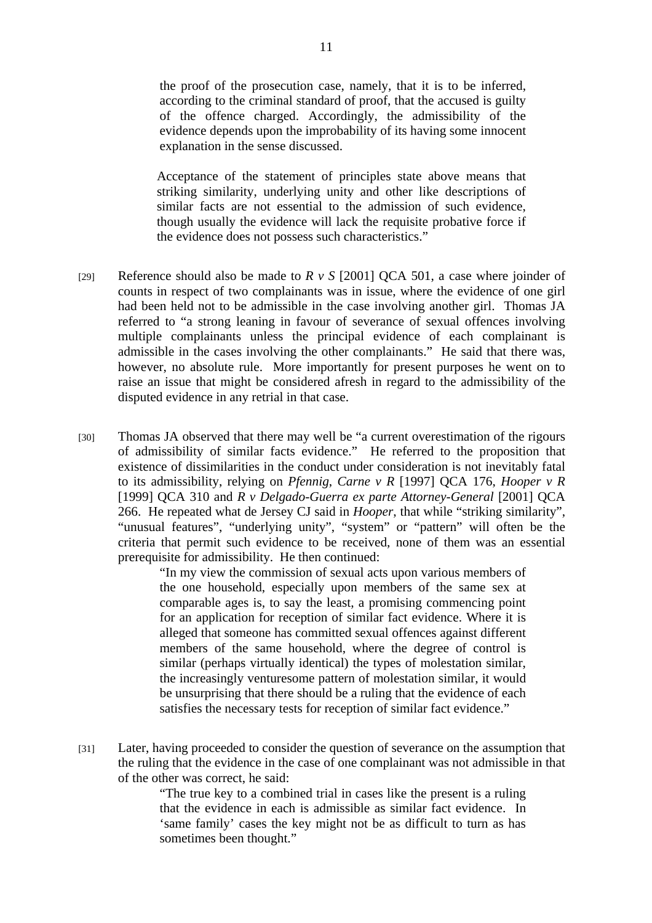the proof of the prosecution case, namely, that it is to be inferred, according to the criminal standard of proof, that the accused is guilty of the offence charged. Accordingly, the admissibility of the evidence depends upon the improbability of its having some innocent explanation in the sense discussed.

Acceptance of the statement of principles state above means that striking similarity, underlying unity and other like descriptions of similar facts are not essential to the admission of such evidence, though usually the evidence will lack the requisite probative force if the evidence does not possess such characteristics."

- [29] Reference should also be made to *R v S* [2001] QCA 501, a case where joinder of counts in respect of two complainants was in issue, where the evidence of one girl had been held not to be admissible in the case involving another girl. Thomas JA referred to "a strong leaning in favour of severance of sexual offences involving multiple complainants unless the principal evidence of each complainant is admissible in the cases involving the other complainants." He said that there was, however, no absolute rule. More importantly for present purposes he went on to raise an issue that might be considered afresh in regard to the admissibility of the disputed evidence in any retrial in that case.
- [30] Thomas JA observed that there may well be "a current overestimation of the rigours of admissibility of similar facts evidence." He referred to the proposition that existence of dissimilarities in the conduct under consideration is not inevitably fatal to its admissibility, relying on *Pfennig*, *Carne v R* [1997] QCA 176, *Hooper v R* [1999] QCA 310 and *R v Delgado-Guerra ex parte Attorney-General* [2001] QCA 266. He repeated what de Jersey CJ said in *Hooper*, that while "striking similarity", "unusual features", "underlying unity", "system" or "pattern" will often be the criteria that permit such evidence to be received, none of them was an essential prerequisite for admissibility. He then continued:

"In my view the commission of sexual acts upon various members of the one household, especially upon members of the same sex at comparable ages is, to say the least, a promising commencing point for an application for reception of similar fact evidence. Where it is alleged that someone has committed sexual offences against different members of the same household, where the degree of control is similar (perhaps virtually identical) the types of molestation similar, the increasingly venturesome pattern of molestation similar, it would be unsurprising that there should be a ruling that the evidence of each satisfies the necessary tests for reception of similar fact evidence."

[31] Later, having proceeded to consider the question of severance on the assumption that the ruling that the evidence in the case of one complainant was not admissible in that of the other was correct, he said:

> "The true key to a combined trial in cases like the present is a ruling that the evidence in each is admissible as similar fact evidence. In 'same family' cases the key might not be as difficult to turn as has sometimes been thought."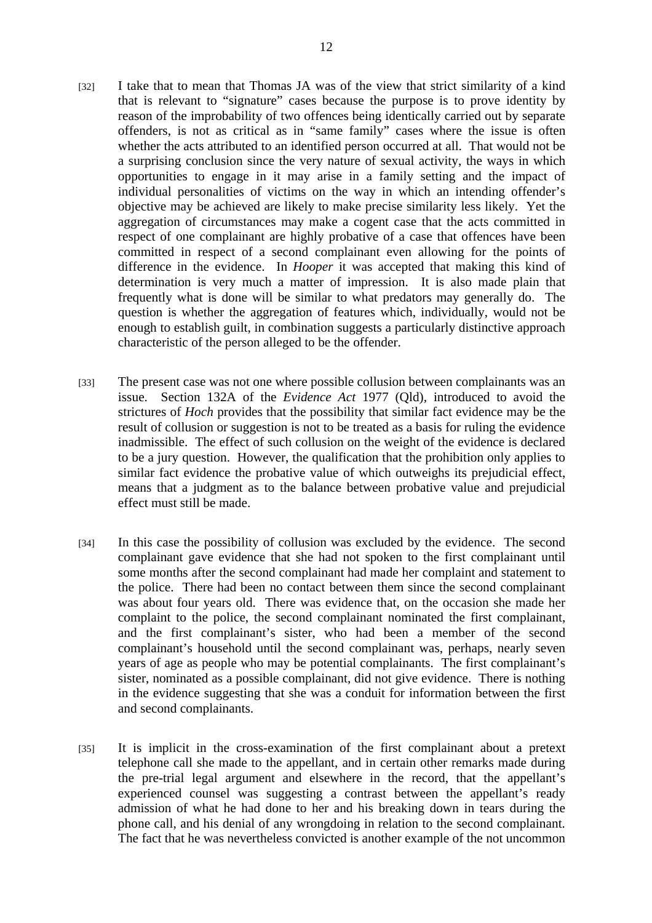- [32] I take that to mean that Thomas JA was of the view that strict similarity of a kind that is relevant to "signature" cases because the purpose is to prove identity by reason of the improbability of two offences being identically carried out by separate offenders, is not as critical as in "same family" cases where the issue is often whether the acts attributed to an identified person occurred at all. That would not be a surprising conclusion since the very nature of sexual activity, the ways in which opportunities to engage in it may arise in a family setting and the impact of individual personalities of victims on the way in which an intending offender's objective may be achieved are likely to make precise similarity less likely. Yet the aggregation of circumstances may make a cogent case that the acts committed in respect of one complainant are highly probative of a case that offences have been committed in respect of a second complainant even allowing for the points of difference in the evidence. In *Hooper* it was accepted that making this kind of determination is very much a matter of impression. It is also made plain that frequently what is done will be similar to what predators may generally do. The question is whether the aggregation of features which, individually, would not be enough to establish guilt, in combination suggests a particularly distinctive approach characteristic of the person alleged to be the offender.
- [33] The present case was not one where possible collusion between complainants was an issue. Section 132A of the *Evidence Act* 1977 (Qld)*,* introduced to avoid the strictures of *Hoch* provides that the possibility that similar fact evidence may be the result of collusion or suggestion is not to be treated as a basis for ruling the evidence inadmissible. The effect of such collusion on the weight of the evidence is declared to be a jury question. However, the qualification that the prohibition only applies to similar fact evidence the probative value of which outweighs its prejudicial effect, means that a judgment as to the balance between probative value and prejudicial effect must still be made.
- [34] In this case the possibility of collusion was excluded by the evidence. The second complainant gave evidence that she had not spoken to the first complainant until some months after the second complainant had made her complaint and statement to the police. There had been no contact between them since the second complainant was about four years old. There was evidence that, on the occasion she made her complaint to the police, the second complainant nominated the first complainant, and the first complainant's sister, who had been a member of the second complainant's household until the second complainant was, perhaps, nearly seven years of age as people who may be potential complainants. The first complainant's sister, nominated as a possible complainant, did not give evidence. There is nothing in the evidence suggesting that she was a conduit for information between the first and second complainants.
- [35] It is implicit in the cross-examination of the first complainant about a pretext telephone call she made to the appellant, and in certain other remarks made during the pre-trial legal argument and elsewhere in the record, that the appellant's experienced counsel was suggesting a contrast between the appellant's ready admission of what he had done to her and his breaking down in tears during the phone call, and his denial of any wrongdoing in relation to the second complainant. The fact that he was nevertheless convicted is another example of the not uncommon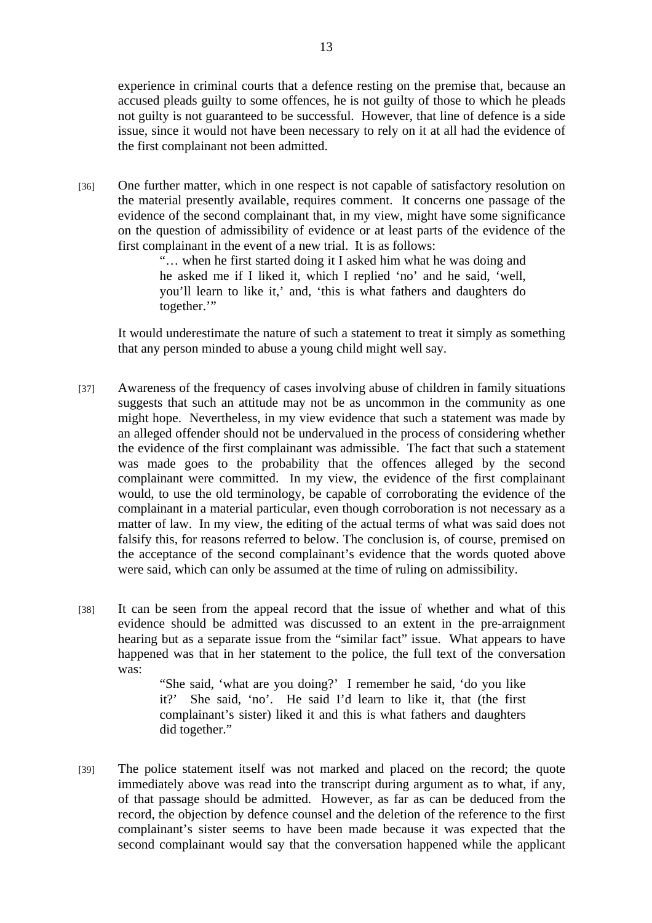experience in criminal courts that a defence resting on the premise that, because an accused pleads guilty to some offences, he is not guilty of those to which he pleads not guilty is not guaranteed to be successful. However, that line of defence is a side issue, since it would not have been necessary to rely on it at all had the evidence of the first complainant not been admitted.

[36] One further matter, which in one respect is not capable of satisfactory resolution on the material presently available, requires comment. It concerns one passage of the evidence of the second complainant that, in my view, might have some significance on the question of admissibility of evidence or at least parts of the evidence of the first complainant in the event of a new trial. It is as follows:

> "… when he first started doing it I asked him what he was doing and he asked me if I liked it, which I replied 'no' and he said, 'well, you'll learn to like it,' and, 'this is what fathers and daughters do together."

It would underestimate the nature of such a statement to treat it simply as something that any person minded to abuse a young child might well say.

- [37] Awareness of the frequency of cases involving abuse of children in family situations suggests that such an attitude may not be as uncommon in the community as one might hope. Nevertheless, in my view evidence that such a statement was made by an alleged offender should not be undervalued in the process of considering whether the evidence of the first complainant was admissible. The fact that such a statement was made goes to the probability that the offences alleged by the second complainant were committed. In my view, the evidence of the first complainant would, to use the old terminology, be capable of corroborating the evidence of the complainant in a material particular, even though corroboration is not necessary as a matter of law. In my view, the editing of the actual terms of what was said does not falsify this, for reasons referred to below. The conclusion is, of course, premised on the acceptance of the second complainant's evidence that the words quoted above were said, which can only be assumed at the time of ruling on admissibility.
- [38] It can be seen from the appeal record that the issue of whether and what of this evidence should be admitted was discussed to an extent in the pre-arraignment hearing but as a separate issue from the "similar fact" issue. What appears to have happened was that in her statement to the police, the full text of the conversation was:

"She said, 'what are you doing?' I remember he said, 'do you like it?' She said, 'no'. He said I'd learn to like it, that (the first complainant's sister) liked it and this is what fathers and daughters did together."

[39] The police statement itself was not marked and placed on the record; the quote immediately above was read into the transcript during argument as to what, if any, of that passage should be admitted. However, as far as can be deduced from the record, the objection by defence counsel and the deletion of the reference to the first complainant's sister seems to have been made because it was expected that the second complainant would say that the conversation happened while the applicant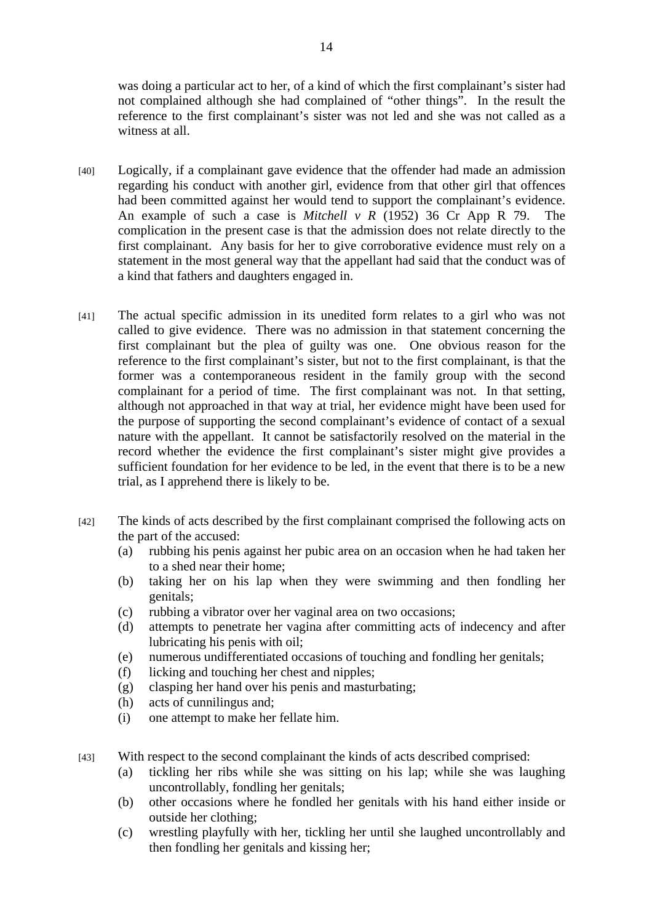was doing a particular act to her, of a kind of which the first complainant's sister had not complained although she had complained of "other things". In the result the reference to the first complainant's sister was not led and she was not called as a witness at all.

- [40] Logically, if a complainant gave evidence that the offender had made an admission regarding his conduct with another girl, evidence from that other girl that offences had been committed against her would tend to support the complainant's evidence. An example of such a case is *Mitchell v R* (1952) 36 Cr App R 79. The complication in the present case is that the admission does not relate directly to the first complainant. Any basis for her to give corroborative evidence must rely on a statement in the most general way that the appellant had said that the conduct was of a kind that fathers and daughters engaged in.
- [41] The actual specific admission in its unedited form relates to a girl who was not called to give evidence. There was no admission in that statement concerning the first complainant but the plea of guilty was one. One obvious reason for the reference to the first complainant's sister, but not to the first complainant, is that the former was a contemporaneous resident in the family group with the second complainant for a period of time. The first complainant was not. In that setting, although not approached in that way at trial, her evidence might have been used for the purpose of supporting the second complainant's evidence of contact of a sexual nature with the appellant. It cannot be satisfactorily resolved on the material in the record whether the evidence the first complainant's sister might give provides a sufficient foundation for her evidence to be led, in the event that there is to be a new trial, as I apprehend there is likely to be.
- [42] The kinds of acts described by the first complainant comprised the following acts on the part of the accused:
	- (a) rubbing his penis against her pubic area on an occasion when he had taken her to a shed near their home;
	- (b) taking her on his lap when they were swimming and then fondling her genitals;
	- (c) rubbing a vibrator over her vaginal area on two occasions;
	- (d) attempts to penetrate her vagina after committing acts of indecency and after lubricating his penis with oil;
	- (e) numerous undifferentiated occasions of touching and fondling her genitals;
	- (f) licking and touching her chest and nipples;
	- (g) clasping her hand over his penis and masturbating;
	- (h) acts of cunnilingus and;
	- (i) one attempt to make her fellate him.
- [43] With respect to the second complainant the kinds of acts described comprised:
	- (a) tickling her ribs while she was sitting on his lap; while she was laughing uncontrollably, fondling her genitals;
	- (b) other occasions where he fondled her genitals with his hand either inside or outside her clothing;
	- (c) wrestling playfully with her, tickling her until she laughed uncontrollably and then fondling her genitals and kissing her;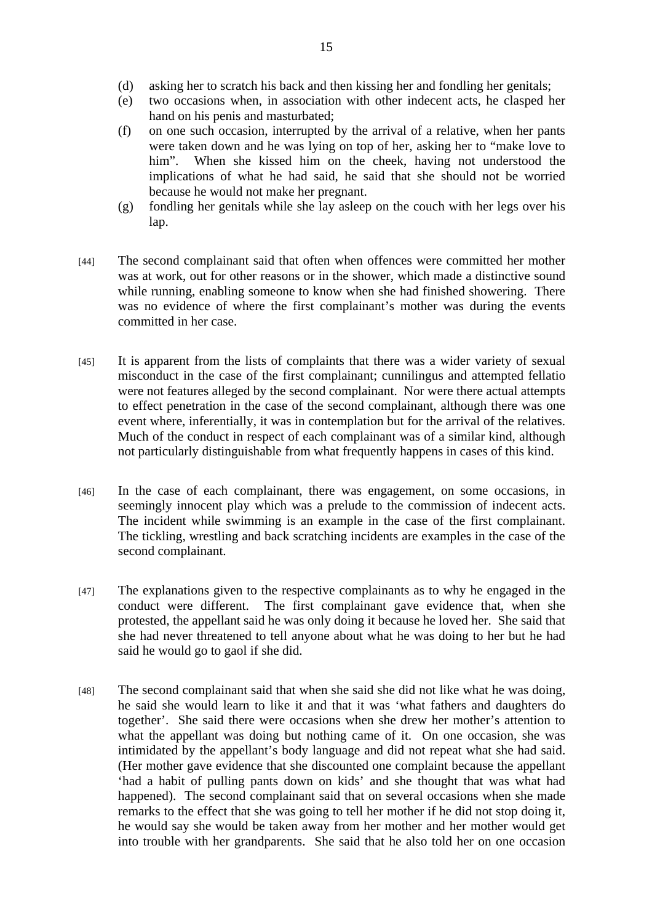- (d) asking her to scratch his back and then kissing her and fondling her genitals;
- (e) two occasions when, in association with other indecent acts, he clasped her hand on his penis and masturbated;
- (f) on one such occasion, interrupted by the arrival of a relative, when her pants were taken down and he was lying on top of her, asking her to "make love to him". When she kissed him on the cheek, having not understood the implications of what he had said, he said that she should not be worried because he would not make her pregnant.
- (g) fondling her genitals while she lay asleep on the couch with her legs over his lap.
- [44] The second complainant said that often when offences were committed her mother was at work, out for other reasons or in the shower, which made a distinctive sound while running, enabling someone to know when she had finished showering. There was no evidence of where the first complainant's mother was during the events committed in her case.
- [45] It is apparent from the lists of complaints that there was a wider variety of sexual misconduct in the case of the first complainant; cunnilingus and attempted fellatio were not features alleged by the second complainant. Nor were there actual attempts to effect penetration in the case of the second complainant, although there was one event where, inferentially, it was in contemplation but for the arrival of the relatives. Much of the conduct in respect of each complainant was of a similar kind, although not particularly distinguishable from what frequently happens in cases of this kind.
- [46] In the case of each complainant, there was engagement, on some occasions, in seemingly innocent play which was a prelude to the commission of indecent acts. The incident while swimming is an example in the case of the first complainant. The tickling, wrestling and back scratching incidents are examples in the case of the second complainant.
- [47] The explanations given to the respective complainants as to why he engaged in the conduct were different. The first complainant gave evidence that, when she protested, the appellant said he was only doing it because he loved her. She said that she had never threatened to tell anyone about what he was doing to her but he had said he would go to gaol if she did.
- [48] The second complainant said that when she said she did not like what he was doing, he said she would learn to like it and that it was 'what fathers and daughters do together'. She said there were occasions when she drew her mother's attention to what the appellant was doing but nothing came of it. On one occasion, she was intimidated by the appellant's body language and did not repeat what she had said. (Her mother gave evidence that she discounted one complaint because the appellant 'had a habit of pulling pants down on kids' and she thought that was what had happened). The second complainant said that on several occasions when she made remarks to the effect that she was going to tell her mother if he did not stop doing it, he would say she would be taken away from her mother and her mother would get into trouble with her grandparents. She said that he also told her on one occasion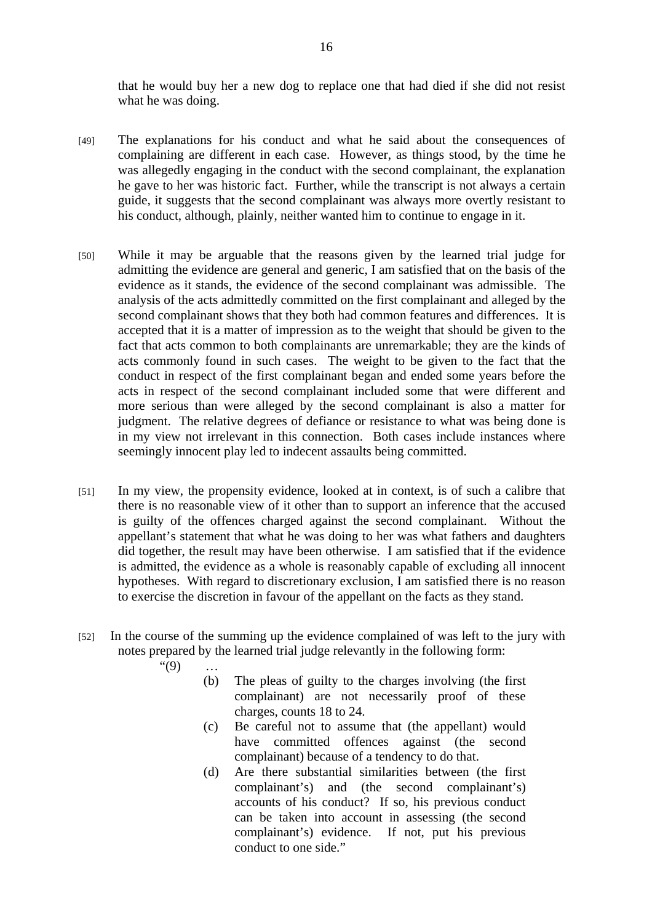that he would buy her a new dog to replace one that had died if she did not resist what he was doing.

- [49] The explanations for his conduct and what he said about the consequences of complaining are different in each case. However, as things stood, by the time he was allegedly engaging in the conduct with the second complainant, the explanation he gave to her was historic fact. Further, while the transcript is not always a certain guide, it suggests that the second complainant was always more overtly resistant to his conduct, although, plainly, neither wanted him to continue to engage in it.
- [50] While it may be arguable that the reasons given by the learned trial judge for admitting the evidence are general and generic, I am satisfied that on the basis of the evidence as it stands, the evidence of the second complainant was admissible. The analysis of the acts admittedly committed on the first complainant and alleged by the second complainant shows that they both had common features and differences. It is accepted that it is a matter of impression as to the weight that should be given to the fact that acts common to both complainants are unremarkable; they are the kinds of acts commonly found in such cases. The weight to be given to the fact that the conduct in respect of the first complainant began and ended some years before the acts in respect of the second complainant included some that were different and more serious than were alleged by the second complainant is also a matter for judgment. The relative degrees of defiance or resistance to what was being done is in my view not irrelevant in this connection. Both cases include instances where seemingly innocent play led to indecent assaults being committed.
- [51] In my view, the propensity evidence, looked at in context, is of such a calibre that there is no reasonable view of it other than to support an inference that the accused is guilty of the offences charged against the second complainant. Without the appellant's statement that what he was doing to her was what fathers and daughters did together, the result may have been otherwise. I am satisfied that if the evidence is admitted, the evidence as a whole is reasonably capable of excluding all innocent hypotheses. With regard to discretionary exclusion, I am satisfied there is no reason to exercise the discretion in favour of the appellant on the facts as they stand.
- [52] In the course of the summing up the evidence complained of was left to the jury with notes prepared by the learned trial judge relevantly in the following form:

 $"(9) \dots$ 

- (b) The pleas of guilty to the charges involving (the first complainant) are not necessarily proof of these charges, counts 18 to 24.
- (c) Be careful not to assume that (the appellant) would have committed offences against (the second complainant) because of a tendency to do that.
- (d) Are there substantial similarities between (the first complainant's) and (the second complainant's) accounts of his conduct? If so, his previous conduct can be taken into account in assessing (the second complainant's) evidence. If not, put his previous conduct to one side."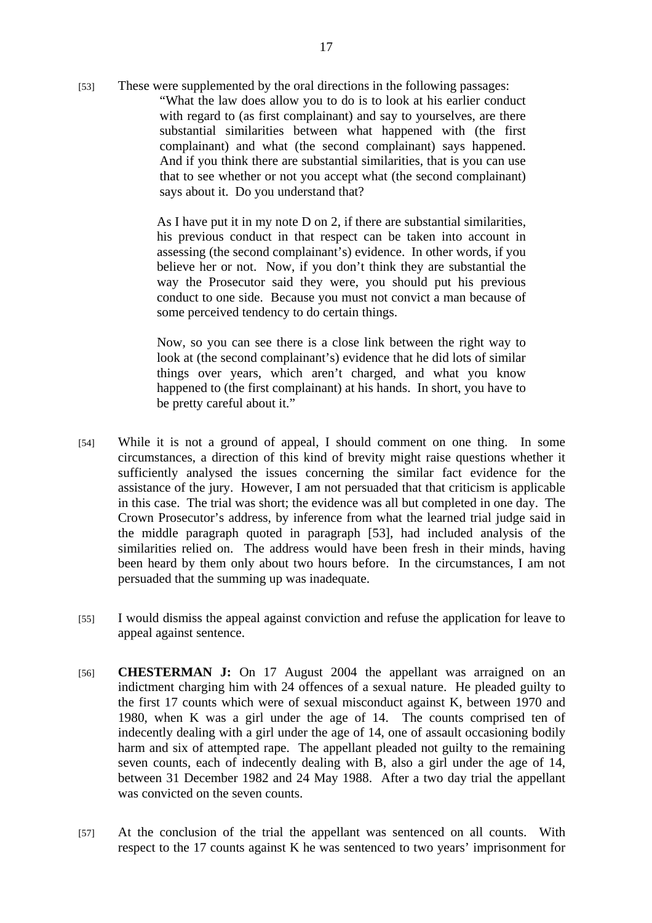[53] These were supplemented by the oral directions in the following passages: "What the law does allow you to do is to look at his earlier conduct with regard to (as first complainant) and say to yourselves, are there substantial similarities between what happened with (the first complainant) and what (the second complainant) says happened. And if you think there are substantial similarities, that is you can use that to see whether or not you accept what (the second complainant) says about it. Do you understand that?

> As I have put it in my note D on 2, if there are substantial similarities, his previous conduct in that respect can be taken into account in assessing (the second complainant's) evidence. In other words, if you believe her or not. Now, if you don't think they are substantial the way the Prosecutor said they were, you should put his previous conduct to one side. Because you must not convict a man because of some perceived tendency to do certain things.

> Now, so you can see there is a close link between the right way to look at (the second complainant's) evidence that he did lots of similar things over years, which aren't charged, and what you know happened to (the first complainant) at his hands. In short, you have to be pretty careful about it."

- [54] While it is not a ground of appeal, I should comment on one thing. In some circumstances, a direction of this kind of brevity might raise questions whether it sufficiently analysed the issues concerning the similar fact evidence for the assistance of the jury. However, I am not persuaded that that criticism is applicable in this case. The trial was short; the evidence was all but completed in one day. The Crown Prosecutor's address, by inference from what the learned trial judge said in the middle paragraph quoted in paragraph [53], had included analysis of the similarities relied on. The address would have been fresh in their minds, having been heard by them only about two hours before. In the circumstances, I am not persuaded that the summing up was inadequate.
- [55] I would dismiss the appeal against conviction and refuse the application for leave to appeal against sentence.
- [56] **CHESTERMAN J:** On 17 August 2004 the appellant was arraigned on an indictment charging him with 24 offences of a sexual nature. He pleaded guilty to the first 17 counts which were of sexual misconduct against K, between 1970 and 1980, when K was a girl under the age of 14. The counts comprised ten of indecently dealing with a girl under the age of 14, one of assault occasioning bodily harm and six of attempted rape. The appellant pleaded not guilty to the remaining seven counts, each of indecently dealing with B, also a girl under the age of 14, between 31 December 1982 and 24 May 1988. After a two day trial the appellant was convicted on the seven counts.
- [57] At the conclusion of the trial the appellant was sentenced on all counts. With respect to the 17 counts against K he was sentenced to two years' imprisonment for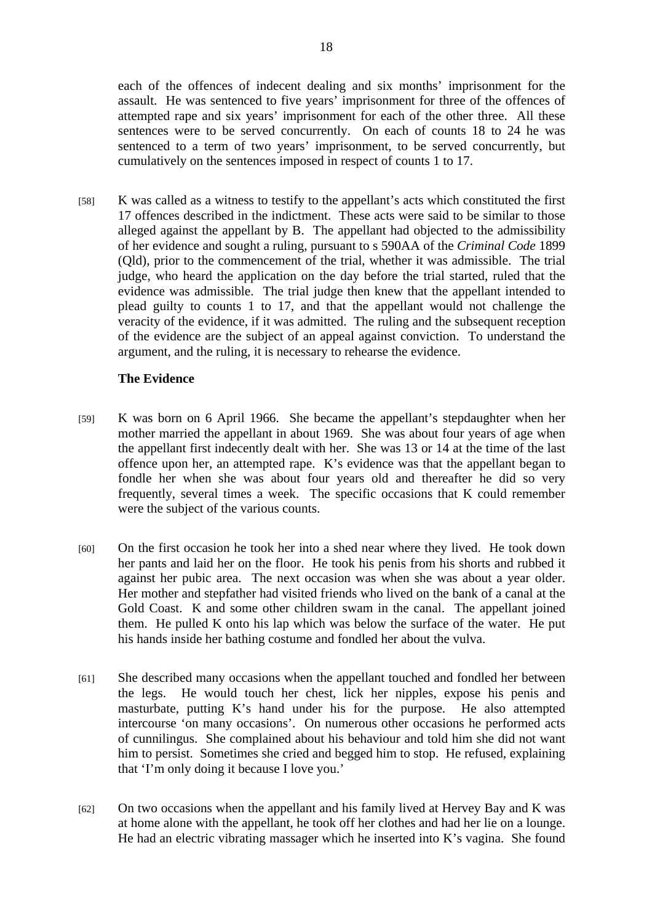each of the offences of indecent dealing and six months' imprisonment for the assault. He was sentenced to five years' imprisonment for three of the offences of attempted rape and six years' imprisonment for each of the other three. All these sentences were to be served concurrently. On each of counts 18 to 24 he was sentenced to a term of two years' imprisonment, to be served concurrently, but cumulatively on the sentences imposed in respect of counts 1 to 17.

[58] K was called as a witness to testify to the appellant's acts which constituted the first 17 offences described in the indictment. These acts were said to be similar to those alleged against the appellant by B. The appellant had objected to the admissibility of her evidence and sought a ruling, pursuant to s 590AA of the *Criminal Code* 1899 (Qld), prior to the commencement of the trial, whether it was admissible. The trial judge, who heard the application on the day before the trial started, ruled that the evidence was admissible. The trial judge then knew that the appellant intended to plead guilty to counts 1 to 17, and that the appellant would not challenge the veracity of the evidence, if it was admitted. The ruling and the subsequent reception of the evidence are the subject of an appeal against conviction. To understand the argument, and the ruling, it is necessary to rehearse the evidence.

## **The Evidence**

- [59] K was born on 6 April 1966. She became the appellant's stepdaughter when her mother married the appellant in about 1969. She was about four years of age when the appellant first indecently dealt with her. She was 13 or 14 at the time of the last offence upon her, an attempted rape. K's evidence was that the appellant began to fondle her when she was about four years old and thereafter he did so very frequently, several times a week. The specific occasions that K could remember were the subject of the various counts.
- [60] On the first occasion he took her into a shed near where they lived. He took down her pants and laid her on the floor. He took his penis from his shorts and rubbed it against her pubic area. The next occasion was when she was about a year older. Her mother and stepfather had visited friends who lived on the bank of a canal at the Gold Coast. K and some other children swam in the canal. The appellant joined them. He pulled K onto his lap which was below the surface of the water. He put his hands inside her bathing costume and fondled her about the vulva.
- [61] She described many occasions when the appellant touched and fondled her between the legs. He would touch her chest, lick her nipples, expose his penis and masturbate, putting K's hand under his for the purpose. He also attempted intercourse 'on many occasions'. On numerous other occasions he performed acts of cunnilingus. She complained about his behaviour and told him she did not want him to persist. Sometimes she cried and begged him to stop. He refused, explaining that 'I'm only doing it because I love you.'
- [62] On two occasions when the appellant and his family lived at Hervey Bay and K was at home alone with the appellant, he took off her clothes and had her lie on a lounge. He had an electric vibrating massager which he inserted into K's vagina. She found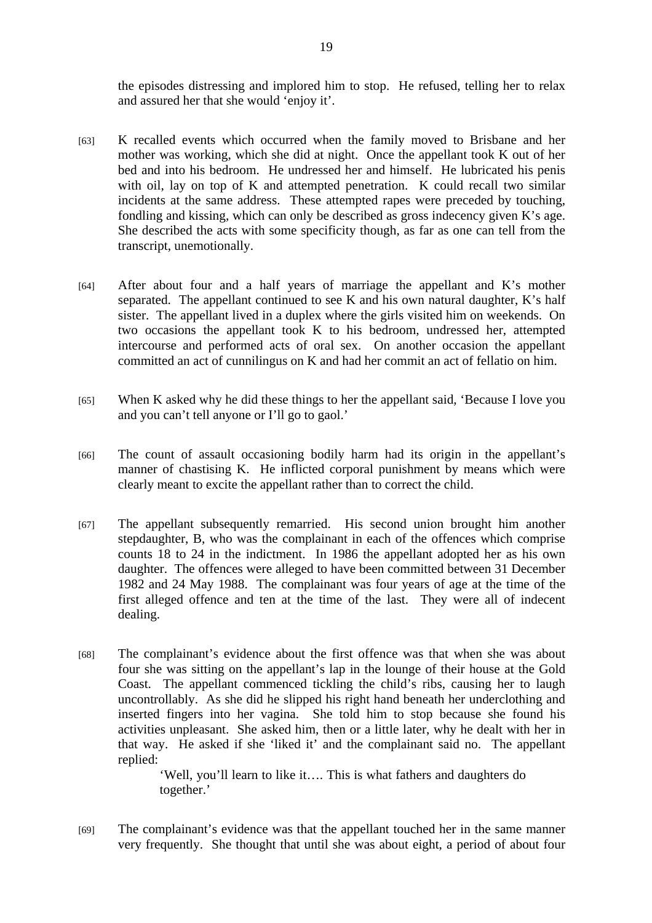the episodes distressing and implored him to stop. He refused, telling her to relax and assured her that she would 'enjoy it'.

- [63] K recalled events which occurred when the family moved to Brisbane and her mother was working, which she did at night. Once the appellant took K out of her bed and into his bedroom. He undressed her and himself. He lubricated his penis with oil, lay on top of K and attempted penetration. K could recall two similar incidents at the same address. These attempted rapes were preceded by touching, fondling and kissing, which can only be described as gross indecency given K's age. She described the acts with some specificity though, as far as one can tell from the transcript, unemotionally.
- [64] After about four and a half years of marriage the appellant and K's mother separated. The appellant continued to see K and his own natural daughter, K's half sister. The appellant lived in a duplex where the girls visited him on weekends. On two occasions the appellant took K to his bedroom, undressed her, attempted intercourse and performed acts of oral sex. On another occasion the appellant committed an act of cunnilingus on K and had her commit an act of fellatio on him.
- [65] When K asked why he did these things to her the appellant said, 'Because I love you and you can't tell anyone or I'll go to gaol.'
- [66] The count of assault occasioning bodily harm had its origin in the appellant's manner of chastising K. He inflicted corporal punishment by means which were clearly meant to excite the appellant rather than to correct the child.
- [67] The appellant subsequently remarried. His second union brought him another stepdaughter, B, who was the complainant in each of the offences which comprise counts 18 to 24 in the indictment. In 1986 the appellant adopted her as his own daughter. The offences were alleged to have been committed between 31 December 1982 and 24 May 1988. The complainant was four years of age at the time of the first alleged offence and ten at the time of the last. They were all of indecent dealing.
- [68] The complainant's evidence about the first offence was that when she was about four she was sitting on the appellant's lap in the lounge of their house at the Gold Coast. The appellant commenced tickling the child's ribs, causing her to laugh uncontrollably. As she did he slipped his right hand beneath her underclothing and inserted fingers into her vagina. She told him to stop because she found his activities unpleasant. She asked him, then or a little later, why he dealt with her in that way. He asked if she 'liked it' and the complainant said no. The appellant replied:

'Well, you'll learn to like it…. This is what fathers and daughters do together.'

[69] The complainant's evidence was that the appellant touched her in the same manner very frequently. She thought that until she was about eight, a period of about four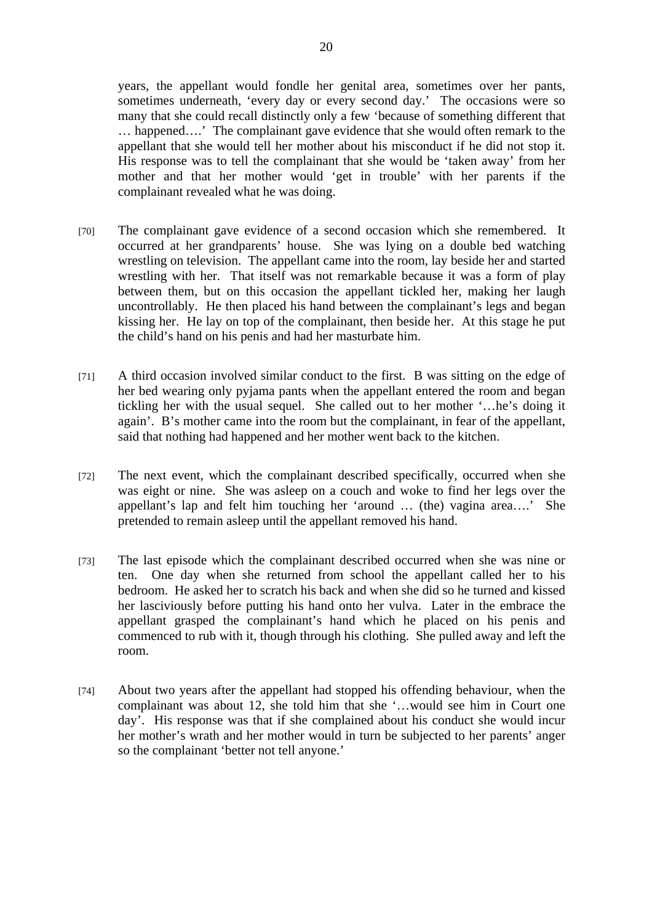years, the appellant would fondle her genital area, sometimes over her pants, sometimes underneath, 'every day or every second day.' The occasions were so many that she could recall distinctly only a few 'because of something different that … happened….' The complainant gave evidence that she would often remark to the appellant that she would tell her mother about his misconduct if he did not stop it. His response was to tell the complainant that she would be 'taken away' from her mother and that her mother would 'get in trouble' with her parents if the complainant revealed what he was doing.

- [70] The complainant gave evidence of a second occasion which she remembered. It occurred at her grandparents' house. She was lying on a double bed watching wrestling on television. The appellant came into the room, lay beside her and started wrestling with her. That itself was not remarkable because it was a form of play between them, but on this occasion the appellant tickled her, making her laugh uncontrollably. He then placed his hand between the complainant's legs and began kissing her. He lay on top of the complainant, then beside her. At this stage he put the child's hand on his penis and had her masturbate him.
- [71] A third occasion involved similar conduct to the first. B was sitting on the edge of her bed wearing only pyjama pants when the appellant entered the room and began tickling her with the usual sequel. She called out to her mother '…he's doing it again'. B's mother came into the room but the complainant, in fear of the appellant, said that nothing had happened and her mother went back to the kitchen.
- [72] The next event, which the complainant described specifically, occurred when she was eight or nine. She was asleep on a couch and woke to find her legs over the appellant's lap and felt him touching her 'around … (the) vagina area….' She pretended to remain asleep until the appellant removed his hand.
- [73] The last episode which the complainant described occurred when she was nine or ten. One day when she returned from school the appellant called her to his bedroom. He asked her to scratch his back and when she did so he turned and kissed her lasciviously before putting his hand onto her vulva. Later in the embrace the appellant grasped the complainant's hand which he placed on his penis and commenced to rub with it, though through his clothing. She pulled away and left the room.
- [74] About two years after the appellant had stopped his offending behaviour, when the complainant was about 12, she told him that she '…would see him in Court one day'. His response was that if she complained about his conduct she would incur her mother's wrath and her mother would in turn be subjected to her parents' anger so the complainant 'better not tell anyone.'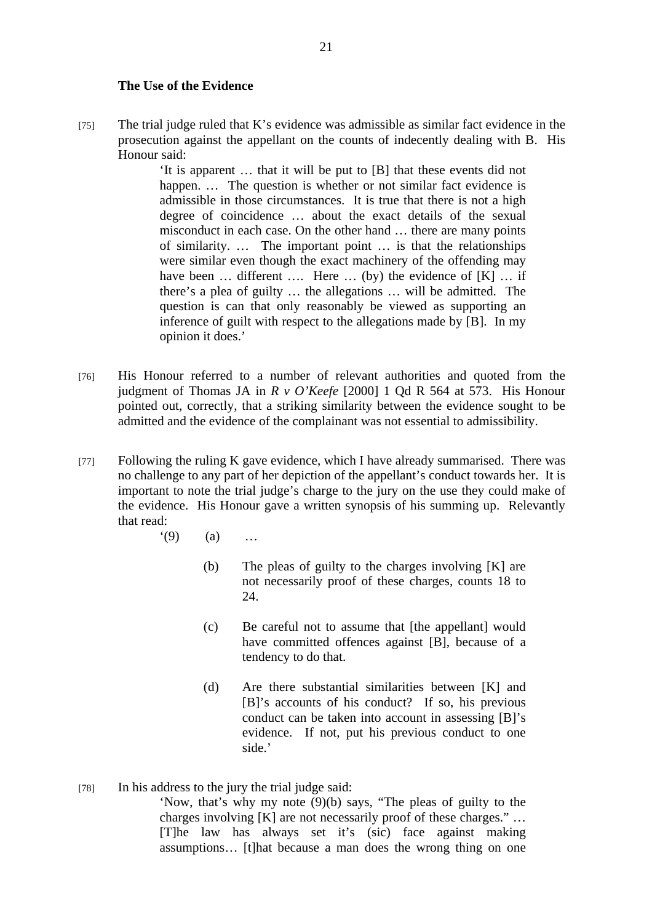#### **The Use of the Evidence**

[75] The trial judge ruled that K's evidence was admissible as similar fact evidence in the prosecution against the appellant on the counts of indecently dealing with B. His Honour said:

> 'It is apparent … that it will be put to [B] that these events did not happen. ... The question is whether or not similar fact evidence is admissible in those circumstances. It is true that there is not a high degree of coincidence … about the exact details of the sexual misconduct in each case. On the other hand … there are many points of similarity. … The important point … is that the relationships were similar even though the exact machinery of the offending may have been ... different .... Here ... (by) the evidence of [K] ... if there's a plea of guilty … the allegations … will be admitted. The question is can that only reasonably be viewed as supporting an inference of guilt with respect to the allegations made by [B]. In my opinion it does.'

- [76] His Honour referred to a number of relevant authorities and quoted from the judgment of Thomas JA in *R v O'Keefe* [2000] 1 Qd R 564 at 573. His Honour pointed out, correctly, that a striking similarity between the evidence sought to be admitted and the evidence of the complainant was not essential to admissibility.
- [77] Following the ruling K gave evidence, which I have already summarised. There was no challenge to any part of her depiction of the appellant's conduct towards her. It is important to note the trial judge's charge to the jury on the use they could make of the evidence. His Honour gave a written synopsis of his summing up. Relevantly that read:
	- $(9)$  (a) …
		- (b) The pleas of guilty to the charges involving [K] are not necessarily proof of these charges, counts 18 to 24.
		- (c) Be careful not to assume that [the appellant] would have committed offences against [B], because of a tendency to do that.
		- (d) Are there substantial similarities between [K] and [B]'s accounts of his conduct? If so, his previous conduct can be taken into account in assessing [B]'s evidence. If not, put his previous conduct to one side.'

[78] In his address to the jury the trial judge said:

'Now, that's why my note (9)(b) says, "The pleas of guilty to the charges involving [K] are not necessarily proof of these charges." … [T]he law has always set it's (sic) face against making assumptions… [t]hat because a man does the wrong thing on one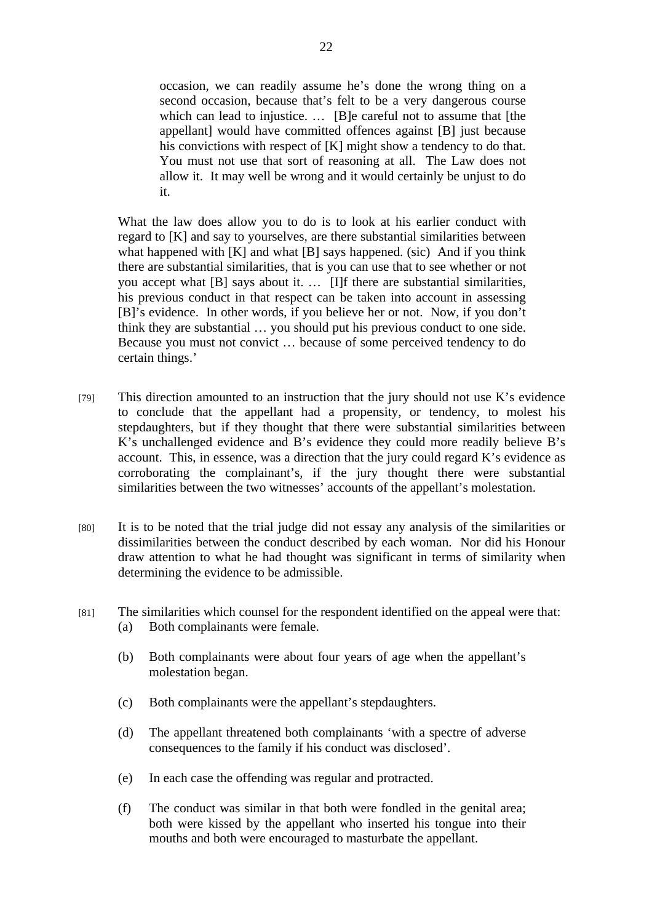occasion, we can readily assume he's done the wrong thing on a second occasion, because that's felt to be a very dangerous course which can lead to injustice. ... [B]e careful not to assume that [the appellant] would have committed offences against [B] just because his convictions with respect of [K] might show a tendency to do that. You must not use that sort of reasoning at all. The Law does not allow it. It may well be wrong and it would certainly be unjust to do it.

What the law does allow you to do is to look at his earlier conduct with regard to [K] and say to yourselves, are there substantial similarities between what happened with [K] and what [B] says happened. (sic) And if you think there are substantial similarities, that is you can use that to see whether or not you accept what [B] says about it. … [I]f there are substantial similarities, his previous conduct in that respect can be taken into account in assessing [B]'s evidence. In other words, if you believe her or not. Now, if you don't think they are substantial … you should put his previous conduct to one side. Because you must not convict … because of some perceived tendency to do certain things.'

- [79] This direction amounted to an instruction that the jury should not use K's evidence to conclude that the appellant had a propensity, or tendency, to molest his stepdaughters, but if they thought that there were substantial similarities between K's unchallenged evidence and B's evidence they could more readily believe B's account. This, in essence, was a direction that the jury could regard K's evidence as corroborating the complainant's, if the jury thought there were substantial similarities between the two witnesses' accounts of the appellant's molestation.
- [80] It is to be noted that the trial judge did not essay any analysis of the similarities or dissimilarities between the conduct described by each woman. Nor did his Honour draw attention to what he had thought was significant in terms of similarity when determining the evidence to be admissible.
- [81] The similarities which counsel for the respondent identified on the appeal were that: (a) Both complainants were female.
	- (b) Both complainants were about four years of age when the appellant's molestation began.
	- (c) Both complainants were the appellant's stepdaughters.
	- (d) The appellant threatened both complainants 'with a spectre of adverse consequences to the family if his conduct was disclosed'.
	- (e) In each case the offending was regular and protracted.
	- (f) The conduct was similar in that both were fondled in the genital area; both were kissed by the appellant who inserted his tongue into their mouths and both were encouraged to masturbate the appellant.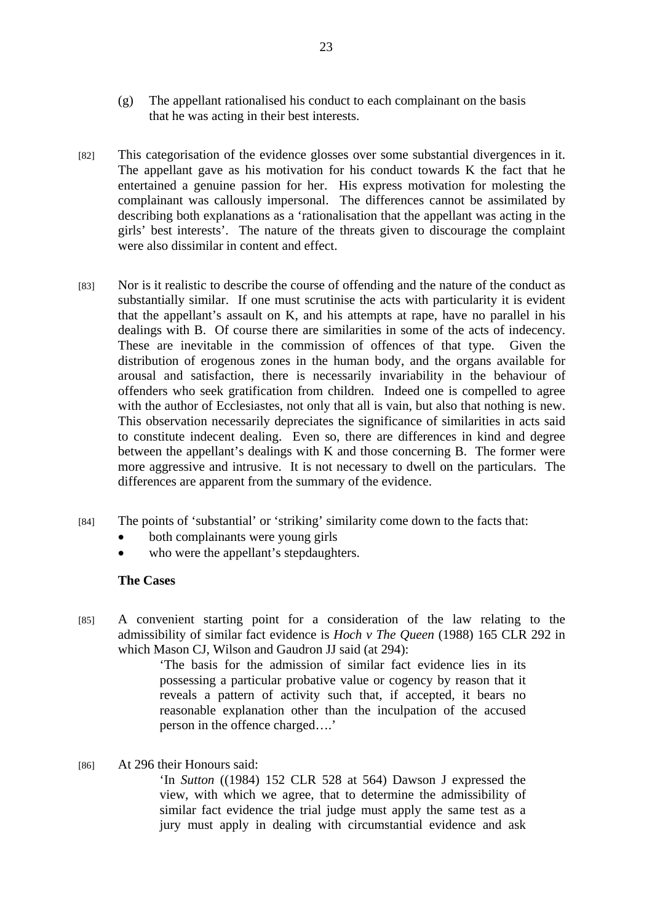- (g) The appellant rationalised his conduct to each complainant on the basis that he was acting in their best interests.
- [82] This categorisation of the evidence glosses over some substantial divergences in it. The appellant gave as his motivation for his conduct towards K the fact that he entertained a genuine passion for her. His express motivation for molesting the complainant was callously impersonal. The differences cannot be assimilated by describing both explanations as a 'rationalisation that the appellant was acting in the girls' best interests'. The nature of the threats given to discourage the complaint were also dissimilar in content and effect.
- [83] Nor is it realistic to describe the course of offending and the nature of the conduct as substantially similar. If one must scrutinise the acts with particularity it is evident that the appellant's assault on K, and his attempts at rape, have no parallel in his dealings with B. Of course there are similarities in some of the acts of indecency. These are inevitable in the commission of offences of that type. Given the distribution of erogenous zones in the human body, and the organs available for arousal and satisfaction, there is necessarily invariability in the behaviour of offenders who seek gratification from children. Indeed one is compelled to agree with the author of Ecclesiastes, not only that all is vain, but also that nothing is new. This observation necessarily depreciates the significance of similarities in acts said to constitute indecent dealing. Even so, there are differences in kind and degree between the appellant's dealings with K and those concerning B. The former were more aggressive and intrusive. It is not necessary to dwell on the particulars. The differences are apparent from the summary of the evidence.
- [84] The points of 'substantial' or 'striking' similarity come down to the facts that:
	- both complainants were young girls
	- who were the appellant's stepdaughters.

#### **The Cases**

[85] A convenient starting point for a consideration of the law relating to the admissibility of similar fact evidence is *Hoch v The Queen* (1988) 165 CLR 292 in which Mason CJ, Wilson and Gaudron JJ said (at 294):

> 'The basis for the admission of similar fact evidence lies in its possessing a particular probative value or cogency by reason that it reveals a pattern of activity such that, if accepted, it bears no reasonable explanation other than the inculpation of the accused person in the offence charged….'

[86] At 296 their Honours said:

'In *Sutton* ((1984) 152 CLR 528 at 564) Dawson J expressed the view, with which we agree, that to determine the admissibility of similar fact evidence the trial judge must apply the same test as a jury must apply in dealing with circumstantial evidence and ask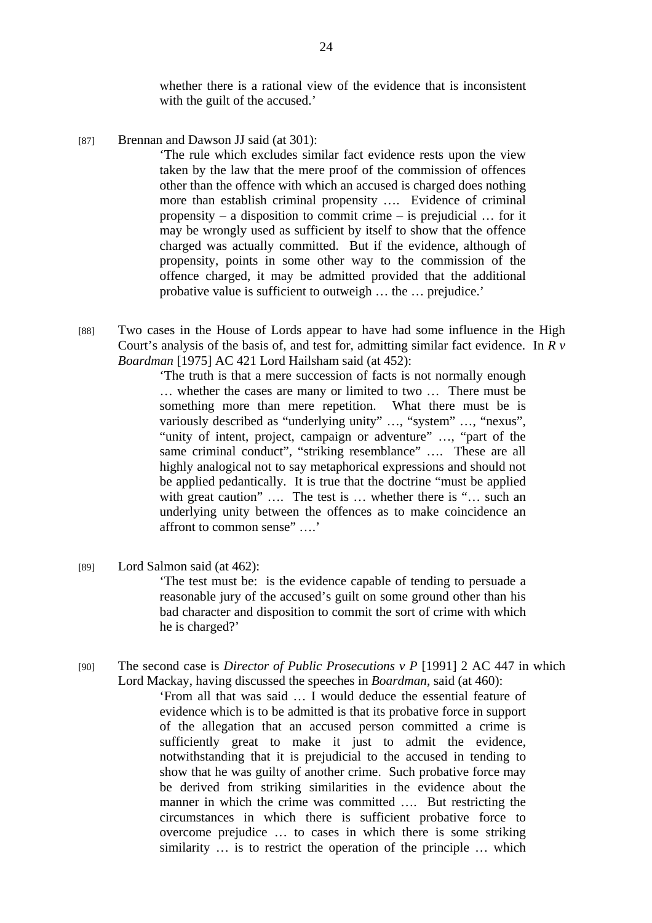whether there is a rational view of the evidence that is inconsistent with the guilt of the accused.'

 $[87]$  Brennan and Dawson JJ said (at 301):

'The rule which excludes similar fact evidence rests upon the view taken by the law that the mere proof of the commission of offences other than the offence with which an accused is charged does nothing more than establish criminal propensity …. Evidence of criminal propensity – a disposition to commit crime – is prejudicial … for it may be wrongly used as sufficient by itself to show that the offence charged was actually committed. But if the evidence, although of propensity, points in some other way to the commission of the offence charged, it may be admitted provided that the additional probative value is sufficient to outweigh … the … prejudice.'

[88] Two cases in the House of Lords appear to have had some influence in the High Court's analysis of the basis of, and test for, admitting similar fact evidence. In *R v Boardman* [1975] AC 421 Lord Hailsham said (at 452):

> 'The truth is that a mere succession of facts is not normally enough … whether the cases are many or limited to two … There must be something more than mere repetition. What there must be is variously described as "underlying unity" …, "system" …, "nexus", "unity of intent, project, campaign or adventure" …, "part of the same criminal conduct", "striking resemblance" …. These are all highly analogical not to say metaphorical expressions and should not be applied pedantically. It is true that the doctrine "must be applied with great caution" .... The test is ... whether there is "... such an underlying unity between the offences as to make coincidence an affront to common sense" ….'

[89] Lord Salmon said (at 462):

'The test must be: is the evidence capable of tending to persuade a reasonable jury of the accused's guilt on some ground other than his bad character and disposition to commit the sort of crime with which he is charged?'

[90] The second case is *Director of Public Prosecutions v P* [1991] 2 AC 447 in which Lord Mackay, having discussed the speeches in *Boardman*, said (at 460):

> 'From all that was said … I would deduce the essential feature of evidence which is to be admitted is that its probative force in support of the allegation that an accused person committed a crime is sufficiently great to make it just to admit the evidence, notwithstanding that it is prejudicial to the accused in tending to show that he was guilty of another crime. Such probative force may be derived from striking similarities in the evidence about the manner in which the crime was committed .... But restricting the circumstances in which there is sufficient probative force to overcome prejudice … to cases in which there is some striking similarity … is to restrict the operation of the principle … which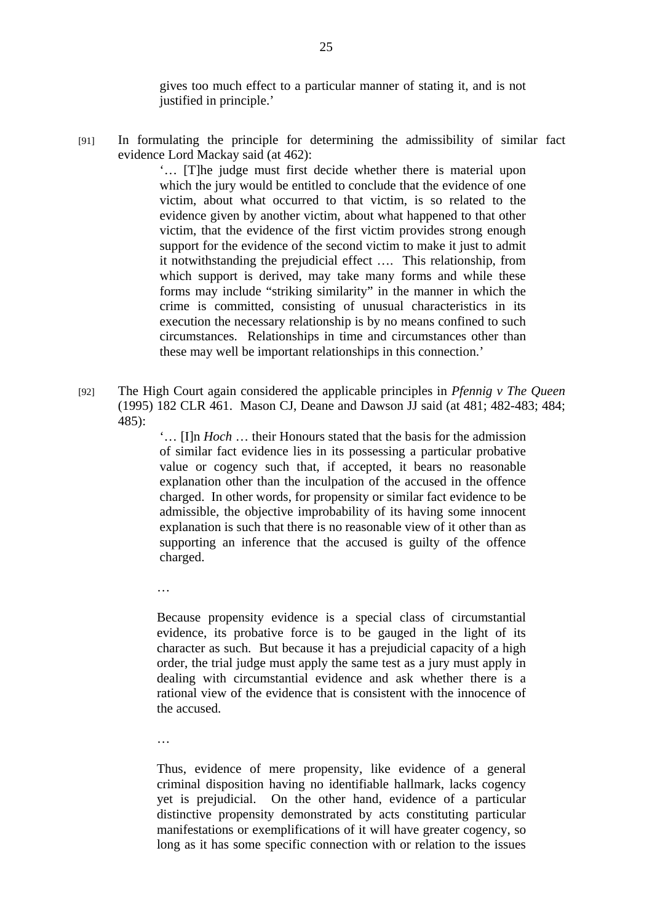gives too much effect to a particular manner of stating it, and is not justified in principle.'

[91] In formulating the principle for determining the admissibility of similar fact evidence Lord Mackay said (at 462):

> '… [T]he judge must first decide whether there is material upon which the jury would be entitled to conclude that the evidence of one victim, about what occurred to that victim, is so related to the evidence given by another victim, about what happened to that other victim, that the evidence of the first victim provides strong enough support for the evidence of the second victim to make it just to admit it notwithstanding the prejudicial effect …. This relationship, from which support is derived, may take many forms and while these forms may include "striking similarity" in the manner in which the crime is committed, consisting of unusual characteristics in its execution the necessary relationship is by no means confined to such circumstances. Relationships in time and circumstances other than these may well be important relationships in this connection.'

[92] The High Court again considered the applicable principles in *Pfennig v The Queen* (1995) 182 CLR 461. Mason CJ, Deane and Dawson JJ said (at 481; 482-483; 484; 485):

> '… [I]n *Hoch* … their Honours stated that the basis for the admission of similar fact evidence lies in its possessing a particular probative value or cogency such that, if accepted, it bears no reasonable explanation other than the inculpation of the accused in the offence charged. In other words, for propensity or similar fact evidence to be admissible, the objective improbability of its having some innocent explanation is such that there is no reasonable view of it other than as supporting an inference that the accused is guilty of the offence charged.

…

Because propensity evidence is a special class of circumstantial evidence, its probative force is to be gauged in the light of its character as such. But because it has a prejudicial capacity of a high order, the trial judge must apply the same test as a jury must apply in dealing with circumstantial evidence and ask whether there is a rational view of the evidence that is consistent with the innocence of the accused.

…

Thus, evidence of mere propensity, like evidence of a general criminal disposition having no identifiable hallmark, lacks cogency yet is prejudicial. On the other hand, evidence of a particular distinctive propensity demonstrated by acts constituting particular manifestations or exemplifications of it will have greater cogency, so long as it has some specific connection with or relation to the issues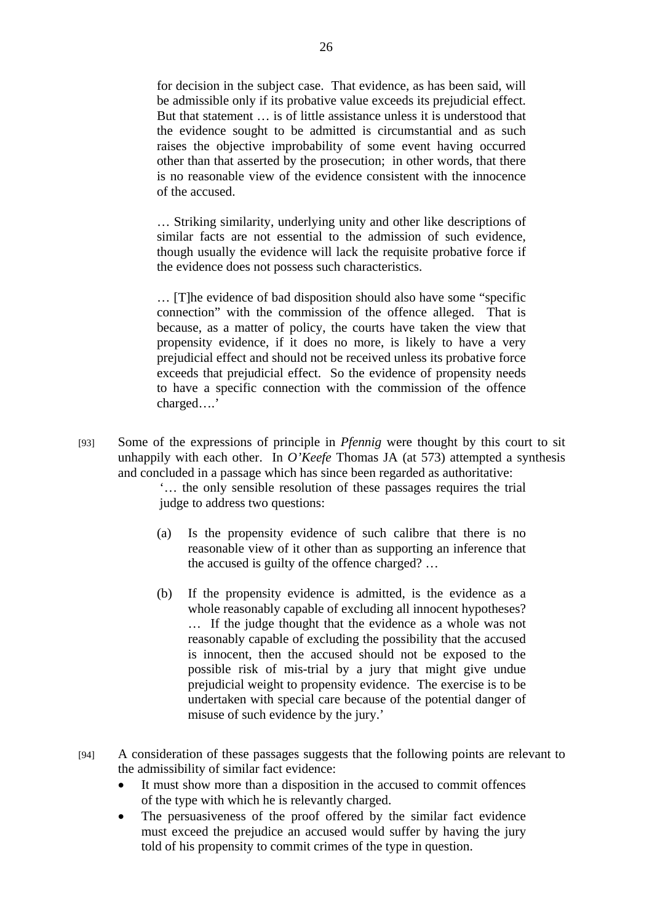for decision in the subject case. That evidence, as has been said, will be admissible only if its probative value exceeds its prejudicial effect. But that statement … is of little assistance unless it is understood that the evidence sought to be admitted is circumstantial and as such raises the objective improbability of some event having occurred other than that asserted by the prosecution; in other words, that there is no reasonable view of the evidence consistent with the innocence of the accused.

… Striking similarity, underlying unity and other like descriptions of similar facts are not essential to the admission of such evidence, though usually the evidence will lack the requisite probative force if the evidence does not possess such characteristics.

… [T]he evidence of bad disposition should also have some "specific connection" with the commission of the offence alleged. That is because, as a matter of policy, the courts have taken the view that propensity evidence, if it does no more, is likely to have a very prejudicial effect and should not be received unless its probative force exceeds that prejudicial effect. So the evidence of propensity needs to have a specific connection with the commission of the offence charged….'

[93] Some of the expressions of principle in *Pfennig* were thought by this court to sit unhappily with each other. In *O'Keefe* Thomas JA (at 573) attempted a synthesis and concluded in a passage which has since been regarded as authoritative:

> '… the only sensible resolution of these passages requires the trial judge to address two questions:

- (a) Is the propensity evidence of such calibre that there is no reasonable view of it other than as supporting an inference that the accused is guilty of the offence charged? …
- (b) If the propensity evidence is admitted, is the evidence as a whole reasonably capable of excluding all innocent hypotheses? … If the judge thought that the evidence as a whole was not reasonably capable of excluding the possibility that the accused is innocent, then the accused should not be exposed to the possible risk of mis-trial by a jury that might give undue prejudicial weight to propensity evidence. The exercise is to be undertaken with special care because of the potential danger of misuse of such evidence by the jury.'
- [94] A consideration of these passages suggests that the following points are relevant to the admissibility of similar fact evidence:
	- It must show more than a disposition in the accused to commit offences of the type with which he is relevantly charged.
	- The persuasiveness of the proof offered by the similar fact evidence must exceed the prejudice an accused would suffer by having the jury told of his propensity to commit crimes of the type in question.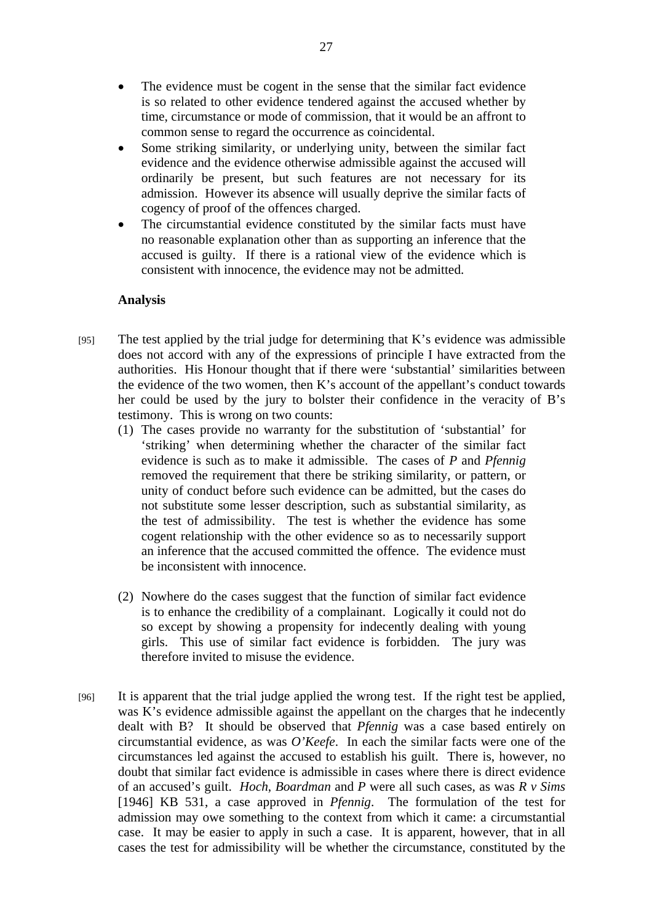- The evidence must be cogent in the sense that the similar fact evidence is so related to other evidence tendered against the accused whether by time, circumstance or mode of commission, that it would be an affront to common sense to regard the occurrence as coincidental.
- Some striking similarity, or underlying unity, between the similar fact evidence and the evidence otherwise admissible against the accused will ordinarily be present, but such features are not necessary for its admission. However its absence will usually deprive the similar facts of cogency of proof of the offences charged.
- The circumstantial evidence constituted by the similar facts must have no reasonable explanation other than as supporting an inference that the accused is guilty. If there is a rational view of the evidence which is consistent with innocence, the evidence may not be admitted.

### **Analysis**

- [95] The test applied by the trial judge for determining that K's evidence was admissible does not accord with any of the expressions of principle I have extracted from the authorities. His Honour thought that if there were 'substantial' similarities between the evidence of the two women, then K's account of the appellant's conduct towards her could be used by the jury to bolster their confidence in the veracity of B's testimony. This is wrong on two counts:
	- (1) The cases provide no warranty for the substitution of 'substantial' for 'striking' when determining whether the character of the similar fact evidence is such as to make it admissible. The cases of *P* and *Pfennig* removed the requirement that there be striking similarity, or pattern, or unity of conduct before such evidence can be admitted, but the cases do not substitute some lesser description, such as substantial similarity, as the test of admissibility. The test is whether the evidence has some cogent relationship with the other evidence so as to necessarily support an inference that the accused committed the offence. The evidence must be inconsistent with innocence.
	- (2) Nowhere do the cases suggest that the function of similar fact evidence is to enhance the credibility of a complainant. Logically it could not do so except by showing a propensity for indecently dealing with young girls. This use of similar fact evidence is forbidden. The jury was therefore invited to misuse the evidence.
- [96] It is apparent that the trial judge applied the wrong test. If the right test be applied, was K's evidence admissible against the appellant on the charges that he indecently dealt with B? It should be observed that *Pfennig* was a case based entirely on circumstantial evidence, as was *O'Keefe*. In each the similar facts were one of the circumstances led against the accused to establish his guilt. There is, however, no doubt that similar fact evidence is admissible in cases where there is direct evidence of an accused's guilt. *Hoch*, *Boardman* and *P* were all such cases, as was *R v Sims* [1946] KB 531, a case approved in *Pfennig*. The formulation of the test for admission may owe something to the context from which it came: a circumstantial case. It may be easier to apply in such a case. It is apparent, however, that in all cases the test for admissibility will be whether the circumstance, constituted by the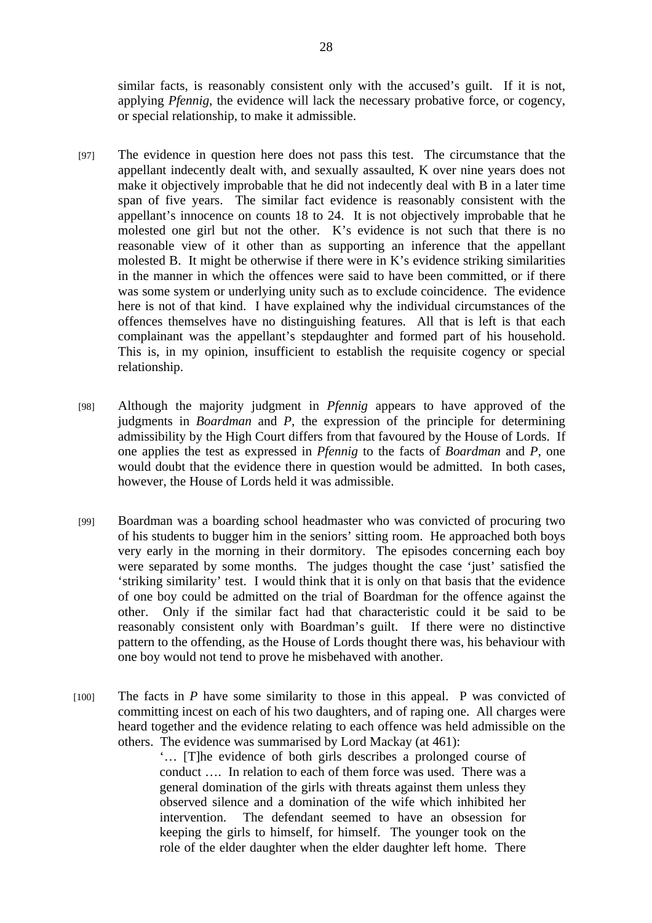similar facts, is reasonably consistent only with the accused's guilt. If it is not, applying *Pfennig*, the evidence will lack the necessary probative force, or cogency, or special relationship, to make it admissible.

- [97] The evidence in question here does not pass this test. The circumstance that the appellant indecently dealt with, and sexually assaulted, K over nine years does not make it objectively improbable that he did not indecently deal with B in a later time span of five years. The similar fact evidence is reasonably consistent with the appellant's innocence on counts 18 to 24. It is not objectively improbable that he molested one girl but not the other. K's evidence is not such that there is no reasonable view of it other than as supporting an inference that the appellant molested B. It might be otherwise if there were in K's evidence striking similarities in the manner in which the offences were said to have been committed, or if there was some system or underlying unity such as to exclude coincidence. The evidence here is not of that kind. I have explained why the individual circumstances of the offences themselves have no distinguishing features. All that is left is that each complainant was the appellant's stepdaughter and formed part of his household. This is, in my opinion, insufficient to establish the requisite cogency or special relationship.
- [98] Although the majority judgment in *Pfennig* appears to have approved of the judgments in *Boardman* and *P*, the expression of the principle for determining admissibility by the High Court differs from that favoured by the House of Lords. If one applies the test as expressed in *Pfennig* to the facts of *Boardman* and *P*, one would doubt that the evidence there in question would be admitted. In both cases, however, the House of Lords held it was admissible.
- [99] Boardman was a boarding school headmaster who was convicted of procuring two of his students to bugger him in the seniors' sitting room. He approached both boys very early in the morning in their dormitory. The episodes concerning each boy were separated by some months. The judges thought the case 'just' satisfied the 'striking similarity' test. I would think that it is only on that basis that the evidence of one boy could be admitted on the trial of Boardman for the offence against the other. Only if the similar fact had that characteristic could it be said to be reasonably consistent only with Boardman's guilt. If there were no distinctive pattern to the offending, as the House of Lords thought there was, his behaviour with one boy would not tend to prove he misbehaved with another.
- [100] The facts in *P* have some similarity to those in this appeal. P was convicted of committing incest on each of his two daughters, and of raping one. All charges were heard together and the evidence relating to each offence was held admissible on the others. The evidence was summarised by Lord Mackay (at 461):

'… [T]he evidence of both girls describes a prolonged course of conduct …. In relation to each of them force was used. There was a general domination of the girls with threats against them unless they observed silence and a domination of the wife which inhibited her intervention. The defendant seemed to have an obsession for keeping the girls to himself, for himself. The younger took on the role of the elder daughter when the elder daughter left home. There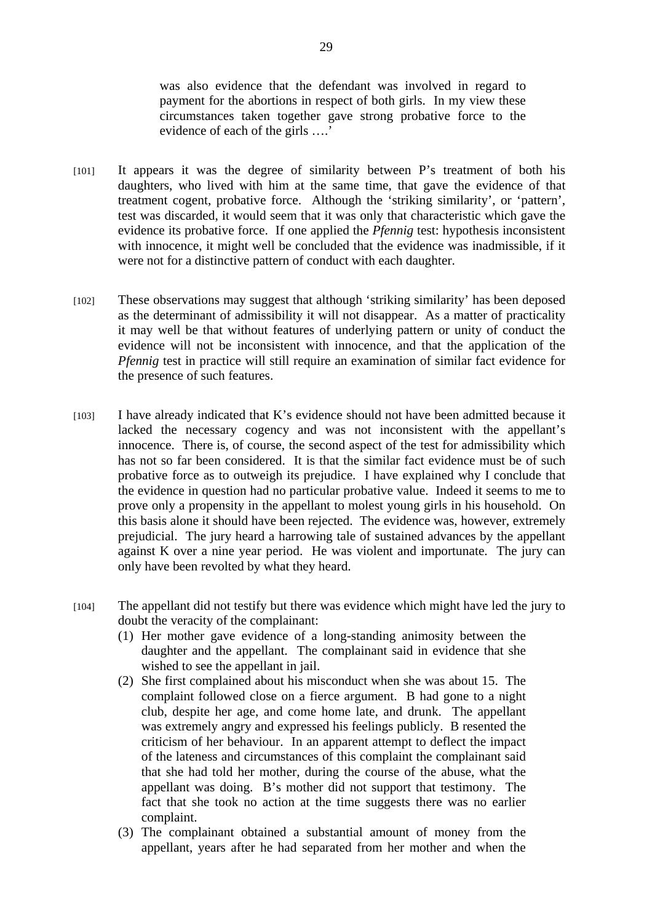was also evidence that the defendant was involved in regard to payment for the abortions in respect of both girls. In my view these circumstances taken together gave strong probative force to the evidence of each of the girls ….'

- [101] It appears it was the degree of similarity between P's treatment of both his daughters, who lived with him at the same time, that gave the evidence of that treatment cogent, probative force. Although the 'striking similarity', or 'pattern', test was discarded, it would seem that it was only that characteristic which gave the evidence its probative force. If one applied the *Pfennig* test: hypothesis inconsistent with innocence, it might well be concluded that the evidence was inadmissible, if it were not for a distinctive pattern of conduct with each daughter.
- [102] These observations may suggest that although 'striking similarity' has been deposed as the determinant of admissibility it will not disappear. As a matter of practicality it may well be that without features of underlying pattern or unity of conduct the evidence will not be inconsistent with innocence, and that the application of the *Pfennig* test in practice will still require an examination of similar fact evidence for the presence of such features.
- [103] I have already indicated that K's evidence should not have been admitted because it lacked the necessary cogency and was not inconsistent with the appellant's innocence. There is, of course, the second aspect of the test for admissibility which has not so far been considered. It is that the similar fact evidence must be of such probative force as to outweigh its prejudice. I have explained why I conclude that the evidence in question had no particular probative value. Indeed it seems to me to prove only a propensity in the appellant to molest young girls in his household. On this basis alone it should have been rejected. The evidence was, however, extremely prejudicial. The jury heard a harrowing tale of sustained advances by the appellant against K over a nine year period. He was violent and importunate. The jury can only have been revolted by what they heard.
- [104] The appellant did not testify but there was evidence which might have led the jury to doubt the veracity of the complainant:
	- (1) Her mother gave evidence of a long-standing animosity between the daughter and the appellant. The complainant said in evidence that she wished to see the appellant in jail.
	- (2) She first complained about his misconduct when she was about 15. The complaint followed close on a fierce argument. B had gone to a night club, despite her age, and come home late, and drunk. The appellant was extremely angry and expressed his feelings publicly. B resented the criticism of her behaviour. In an apparent attempt to deflect the impact of the lateness and circumstances of this complaint the complainant said that she had told her mother, during the course of the abuse, what the appellant was doing. B's mother did not support that testimony. The fact that she took no action at the time suggests there was no earlier complaint.
	- (3) The complainant obtained a substantial amount of money from the appellant, years after he had separated from her mother and when the